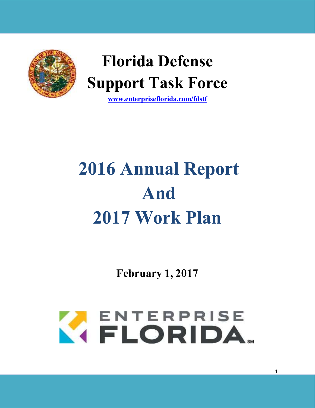

## **Florida Defense Support Task Force**

**[www.enterpriseflorida.com/fdstf](http://www.enterpriseflorida.com/fdstf)**

# **2016 Annual Report And 2017 Work Plan**

**February 1, 2017**

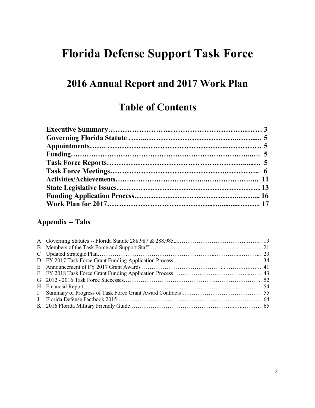## **Florida Defense Support Task Force**

## **2016 Annual Report and 2017 Work Plan**

## **Table of Contents**

#### **Appendix -- Tabs**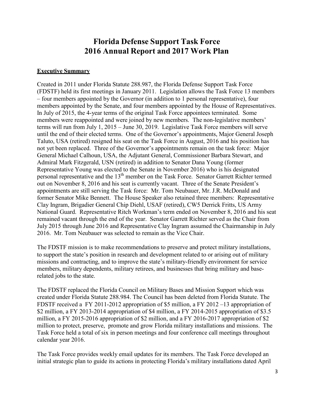#### **Florida Defense Support Task Force 2016 Annual Report and 2017 Work Plan**

#### **Executive Summary**

Created in 2011 under Florida Statute 288.987, the Florida Defense Support Task Force (FDSTF) held its first meetings in January 2011. Legislation allows the Task Force 13 members – four members appointed by the Governor (in addition to 1 personal representative), four members appointed by the Senate, and four members appointed by the House of Representatives. In July of 2015, the 4-year terms of the original Task Force appointees terminated. Some members were reappointed and were joined by new members. The non-legislative members' terms will run from July 1, 2015 – June 30, 2019. Legislative Task Force members will serve until the end of their elected terms. One of the Governor's appointments, Major General Joseph Taluto, USA (retired) resigned his seat on the Task Force in August, 2016 and his position has not yet been replaced. Three of the Governor's appointments remain on the task force: Major General Michael Calhoun, USA, the Adjutant General, Commissioner Barbara Stewart, and Admiral Mark Fitzgerald, USN (retired) in addition to Senator Dana Young (former Representative Young was elected to the Senate in November 2016) who is his designated personal representative and the 13<sup>th</sup> member on the Task Force. Senator Garrett Richter termed out on November 8, 2016 and his seat is currently vacant. Three of the Senate President's appointments are still serving the Task force: Mr. Tom Neubauer, Mr. J.R. McDonald and former Senator Mike Bennett. The House Speaker also retained three members: Representative Clay Ingram, Brigadier General Chip Diehl, USAF (retired), CW5 Derrick Fritts, US Army National Guard. Representative Ritch Workman's term ended on November 8, 2016 and his seat remained vacant through the end of the year. Senator Garrett Richter served as the Chair from July 2015 through June 2016 and Representative Clay Ingram assumed the Chairmanship in July 2016. Mr. Tom Neubauer was selected to remain as the Vice Chair.

The FDSTF mission is to make recommendations to preserve and protect military installations, to support the state's position in research and development related to or arising out of military missions and contracting, and to improve the state's military-friendly environment for service members, military dependents, military retirees, and businesses that bring military and baserelated jobs to the state.

The FDSTF replaced the Florida Council on Military Bases and Mission Support which was created under Florida Statute 288.984. The Council has been deleted from Florida Statute. The FDSTF received a FY 2011-2012 appropriation of \$5 million, a FY 2012 –13 appropriation of \$2 million, a FY 2013-2014 appropriation of \$4 million, a FY 2014-2015 appropriation of \$3.5 million, a FY 2015-2016 appropriation of \$2 million, and a FY 2016-2017 appropriation of \$2 million to protect, preserve, promote and grow Florida military installations and missions. The Task Force held a total of six in person meetings and four conference call meetings throughout calendar year 2016.

The Task Force provides weekly email updates for its members. The Task Force developed an initial strategic plan to guide its actions in protecting Florida's military installations dated April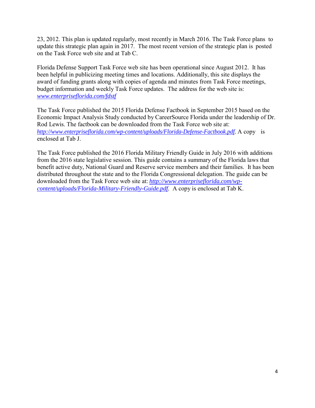23, 2012. This plan is updated regularly, most recently in March 2016. The Task Force plans to update this strategic plan again in 2017. The most recent version of the strategic plan is posted on the Task Force web site and at Tab C.

Florida Defense Support Task Force web site has been operational since August 2012. It has been helpful in publicizing meeting times and locations. Additionally, this site displays the award of funding grants along with copies of agenda and minutes from Task Force meetings, budget information and weekly Task Force updates. The address for the web site is: *[www.enterpriseflorida.com/fdstf](http://www.enterpriseflorida.com/fdstf)*

The Task Force published the 2015 Florida Defense Factbook in September 2015 based on the Economic Impact Analysis Study conducted by CareerSource Florida under the leadership of Dr. Rod Lewis. The factbook can be downloaded from the Task Force web site at: *[http://www.enterpriseflorida.com/wp-content/uploads/Florida-Defense-Factbook.pdf.](http://www.enterpriseflorida.com/wp-content/uploads/Florida-Defense-Factbook.pdf)* A copy is enclosed at Tab J.

The Task Force published the 2016 Florida Military Friendly Guide in July 2016 with additions from the 2016 state legislative session. This guide contains a summary of the Florida laws that benefit active duty, National Guard and Reserve service members and their families. It has been distributed throughout the state and to the Florida Congressional delegation. The guide can be downloaded from the Task Force web site at: *[http://www.enterpriseflorida.com/wp](http://www.enterpriseflorida.com/wp-content/uploads/Florida-Military-Friendly-Guide.pdf)[content/uploads/Florida-Military-Friendly-Guide.pdf.](http://www.enterpriseflorida.com/wp-content/uploads/Florida-Military-Friendly-Guide.pdf)* A copy is enclosed at Tab K.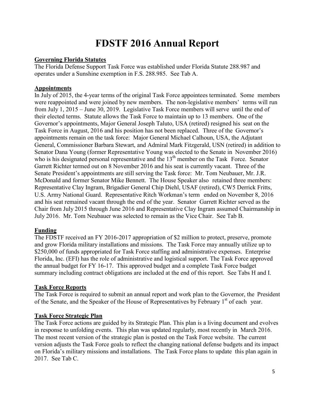## **FDSTF 2016 Annual Report**

#### **Governing Florida Statutes**

The Florida Defense Support Task Force was established under Florida Statute 288.987 and operates under a Sunshine exemption in F.S. 288.985. See Tab A.

#### **Appointments**

In July of 2015, the 4-year terms of the original Task Force appointees terminated. Some members were reappointed and were joined by new members. The non-legislative members' terms will run from July 1, 2015 – June 30, 2019. Legislative Task Force members will serve until the end of their elected terms. Statute allows the Task Force to maintain up to 13 members. One of the Governor's appointments, Major General Joseph Taluto, USA (retired) resigned his seat on the Task Force in August, 2016 and his position has not been replaced. Three of the Governor's appointments remain on the task force: Major General Michael Calhoun, USA, the Adjutant General, Commissioner Barbara Stewart, and Admiral Mark Fitzgerald, USN (retired) in addition to Senator Dana Young (former Representative Young was elected to the Senate in November 2016) who is his designated personal representative and the  $13<sup>th</sup>$  member on the Task Force. Senator Garrett Richter termed out on 8 November 2016 and his seat is currently vacant. Three of the Senate President's appointments are still serving the Task force: Mr. Tom Neubauer, Mr. J.R. McDonald and former Senator Mike Bennett. The House Speaker also retained three members: Representative Clay Ingram, Brigadier General Chip Diehl, USAF (retired), CW5 Derrick Fritts, U.S. Army National Guard. Representative Ritch Workman's term ended on November 8, 2016 and his seat remained vacant through the end of the year. Senator Garrett Richter served as the Chair from July 2015 through June 2016 and Representative Clay Ingram assumed Chairmanship in July 2016. Mr. Tom Neubauer was selected to remain as the Vice Chair. See Tab B.

#### **Funding**

The FDSTF received an FY 2016-2017 appropriation of \$2 million to protect, preserve, promote and grow Florida military installations and missions. The Task Force may annually utilize up to \$250,000 of funds appropriated for Task Force staffing and administrative expenses. Enterprise Florida, Inc. (EFI) has the role of administrative and logistical support. The Task Force approved the annual budget for FY 16-17. This approved budget and a complete Task Force budget summary including contract obligations are included at the end of this report. See Tabs H and I.

#### **Task Force Reports**

The Task Force is required to submit an annual report and work plan to the Governor, the President of the Senate, and the Speaker of the House of Representatives by February 1<sup>st</sup> of each year.

#### **Task Force Strategic Plan**

The Task Force actions are guided by its Strategic Plan. This plan is a living document and evolves in response to unfolding events. This plan was updated regularly, most recently in March 2016. The most recent version of the strategic plan is posted on the Task Force website. The current version adjusts the Task Force goals to reflect the changing national defense budgets and its impact on Florida's military missions and installations. The Task Force plans to update this plan again in 2017. See Tab C.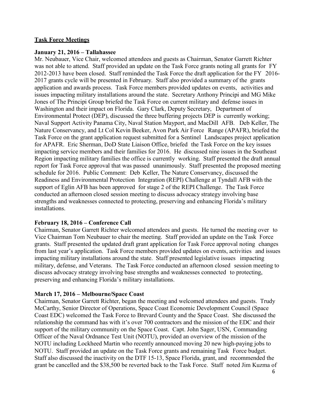#### **Task Force Meetings**

#### **January 21, 2016 – Tallahassee**

Mr. Neubauer, Vice Chair, welcomed attendees and guests as Chairman, Senator Garrett Richter was not able to attend. Staff provided an update on the Task Force grants noting all grants for FY 2012-2013 have been closed. Staff reminded the Task Force the draft application for the FY 2016- 2017 grants cycle will be presented in February. Staff also provided a summary of the grants application and awards process. Task Force members provided updates on events, activities and issues impacting military installations around the state. Secretary Anthony Principi and MG Mike Jones of The Principi Group briefed the Task Force on current military and defense issues in Washington and their impact on Florida. Gary Clark, Deputy Secretary, Department of Environmental Protect (DEP), discussed the three buffering projects DEP is currently working; Naval Support Activity Panama City, Naval Station Mayport, and MacDill AFB. Deb Keller, The Nature Conservancy, and Lt Col Kevin Beeker, Avon Park Air Force Range (APAFR), briefed the Task Force on the grant application request submitted for a Sentinel Landscapes project application for APAFR. Eric Sherman, DoD State Liaison Office, briefed the Task Force on the key issues impacting service members and their families for 2016. He discussed nine issues in the Southeast Region impacting military families the office is currently working. Staff presented the draft annual report for Task Force approval that was passed unanimously. Staff presented the proposed meeting schedule for 2016. Public Comment: Deb Keller, The Nature Conservancy, discussed the Readiness and Environmental Protection Integration (REPI) Challenge at Tyndall AFB with the support of Eglin AFB has been approved for stage 2 of the REPI Challenge. The Task Force conducted an afternoon closed session meeting to discuss advocacy strategy involving base strengths and weaknesses connected to protecting, preserving and enhancing Florida's military installations.

#### **February 18, 2016 – Conference Call**

Chairman, Senator Garrett Richter welcomed attendees and guests. He turned the meeting over to Vice Chairman Tom Neubauer to chair the meeting. Staff provided an update on the Task Force grants. Staff presented the updated draft grant application for Task Force approval noting changes from last year's application. Task Force members provided updates on events, activities and issues impacting military installations around the state. Staff presented legislative issues impacting military, defense, and Veterans. The Task Force conducted an afternoon closed session meeting to discuss advocacy strategy involving base strengths and weaknesses connected to protecting, preserving and enhancing Florida's military installations.

#### **March 17, 2016 – Melbourne/Space Coast**

Chairman, Senator Garrett Richter, began the meeting and welcomed attendees and guests. Trudy McCarthy, Senior Director of Operations, Space Coast Economic Development Council (Space Coast EDC) welcomed the Task Force to Brevard County and the Space Coast. She discussed the relationship the command has with it's over 700 contractors and the mission of the EDC and their support of the military community on the Space Coast. Capt. John Sager, USN, Commanding Officer of the Naval Ordnance Test Unit (NOTU), provided an overview of the mission of the NOTU including Lockheed Martin who recently announced moving 20 new high-paying jobs to NOTU. Staff provided an update on the Task Force grants and remaining Task Force budget. Staff also discussed the inactivity on the DTF 15-13, Space Florida, grant, and recommended the grant be cancelled and the \$38,500 be reverted back to the Task Force. Staff noted Jim Kuzma of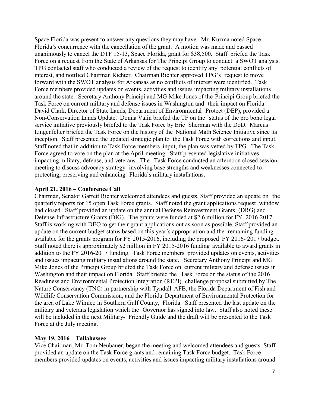Space Florida was present to answer any questions they may have. Mr. Kuzma noted Space Florida's concurrence with the cancellation of the grant. A motion was made and passed unanimously to cancel the DTF 15-13, Space Florida, grant for \$38,500. Staff briefed the Task Force on a request from the State of Arkansas for The Principi Group to conduct a SWOT analysis. TPG contacted staff who conducted a review of the request to identify any potential conflicts of interest, and notified Chairman Richter. Chairman Richter approved TPG's request to move forward with the SWOT analysis for Arkansas as no conflicts of interest were identified. Task Force members provided updates on events, activities and issues impacting military installations around the state. Secretary Anthony Principi and MG Mike Jones of the Principi Group briefed the Task Force on current military and defense issues in Washington and their impact on Florida. David Clark, Director of State Lands, Department of Environmental Protect (DEP), provided a Non-Conservation Lands Update. Donna Valin briefed the TF on the status of the pro bono legal service initiative previously briefed to the Task Force by Eric Sherman with the DoD. Marcus Lingenfelter briefed the Task Force on the history of the National Math Science Initiative since its inception. Staff presented the updated strategic plan to the Task Force with corrections and input. Staff noted that in addition to Task Force members input, the plan was vetted by TPG. The Task Force agreed to vote on the plan at the April meeting. Staff presented legislative initiatives impacting military, defense, and veterans. The Task Force conducted an afternoon closed session meeting to discuss advocacy strategy involving base strengths and weaknesses connected to protecting, preserving and enhancing Florida's military installations.

#### **April 21, 2016 – Conference Call**

Chairman, Senator Garrett Richter welcomed attendees and guests. Staff provided an update on the quarterly reports for 15 open Task Force grants. Staff noted the grant applications request window had closed. Staff provided an update on the annual Defense Reinvestment Grants (DRG) and Defense Infrastructure Grants (DIG). The grants were funded at \$2.6 million for FY 2016-2017. Staff is working with DEO to get their grant applications out as soon as possible. Staff provided an update on the current budget status based on this year's appropriation and the remaining funding available for the grants program for FY 2015-2016, including the proposed FY 2016- 2017 budget. Staff noted there is approximately \$2 million in FY 2015-2016 funding available to award grants in addition to the FY 2016-2017 funding. Task Force members provided updates on events, activities and issues impacting military installations around the state. Secretary Anthony Principi and MG Mike Jones of the Principi Group briefed the Task Force on current military and defense issues in Washington and their impact on Florida. Staff briefed the Task Force on the status of the 2016 Readiness and Environmental Protection Integration (REPI) challenge proposal submitted by The Nature Conservancy (TNC) in partnership with Tyndall AFB, the Florida Department of Fish and Wildlife Conservation Commission, and the Florida Department of Environmental Protection for the area of Lake Wimico in Southern Gulf County, Florida. Staff presented the last update on the military and veterans legislation which the Governor has signed into law. Staff also noted these will be included in the next Military- Friendly Guide and the draft will be presented to the Task Force at the July meeting.

#### **May 19, 2016 – Tallahassee**

Vice Chairman, Mr. Tom Neubauer, began the meeting and welcomed attendees and guests. Staff provided an update on the Task Force grants and remaining Task Force budget. Task Force members provided updates on events, activities and issues impacting military installations around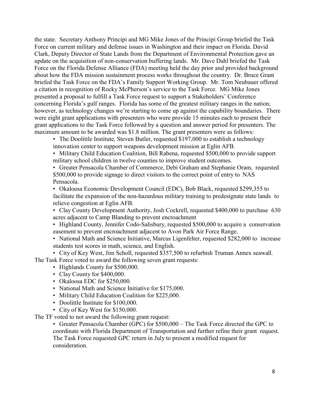the state. Secretary Anthony Principi and MG Mike Jones of the Principi Group briefed the Task Force on current military and defense issues in Washington and their impact on Florida. David Clark, Deputy Director of State Lands from the Department of Environmental Protection gave an update on the acquisition of non-conservation buffering lands. Mr. Dave Dahl briefed the Task Force on the Florida Defense Alliance (FDA) meeting held the day prior and provided background about how the FDA mission sustainment process works throughout the country. Dr. Bruce Grant briefed the Task Force on the FDA's Family Support Working Group. Mr. Tom Neubauer offered a citation in recognition of Rocky McPherson's service to the Task Force. MG Mike Jones presented a proposal to fulfill a Task Force request to support a Stakeholders' Conference concerning Florida's gulf ranges. Florida has some of the greatest military ranges in the nation; however, as technology changes we're starting to come up against the capability boundaries. There were eight grant applications with presenters who were provide 15 minutes each to present their grant applications to the Task Force followed by a question and answer period for presenters. The maximum amount to be awarded was \$1.8 million. The grant presenters were as follows:

• The Doolittle Institute, Steven Butler, requested \$197,000 to establish a technology innovation center to support weapons development mission at Eglin AFB.

• Military Child Education Coalition, Bill Rabena, requested \$500,000 to provide support military school children in twelve counties to improve student outcomes.

• Greater Pensacola Chamber of Commerce, Debi Graham and Stephanie Oram, requested \$500,000 to provide signage to direct visitors to the correct point of entry to NAS Pensacola.

• Okaloosa Economic Development Council (EDC), Bob Black, requested \$299,355 to facilitate the expansion of the non-hazardous military training to predesignate state lands to relieve congestion at Eglin AFB.

• Clay County Development Authority, Josh Cockrell, requested \$400,000 to purchase 630 acres adjacent to Camp Blanding to prevent encroachment

• Highland County, Jennifer Codo-Salisbury, requested \$500,000 to acquire a conservation easement to prevent encroachment adjacent to Avon Park Air Force Range.

• National Math and Science Initiative, Marcus Ligenfelter, requested \$282,000 to increase students test scores in math, science, and English.

• City of Key West, Jim Scholl, requested \$357,500 to refurbish Truman Annex seawall.

The Task Force voted to award the following seven grant requests:

- Highlands County for \$500,000.
- Clay County for \$400,000.
- Okaloosa EDC for \$250,000.
- National Math and Science Initiative for \$175,000.
- Military Child Education Coalition for \$225,000.
- Doolittle Institute for \$100,000.
- City of Key West for \$150,000.

The TF voted to not award the following grant request:

• Greater Pensacola Chamber (GPC) for \$500,000 – The Task Force directed the GPC to coordinate with Florida Department of Transportation and further refine their grant request. The Task Force requested GPC return in July to present a modified request for consideration.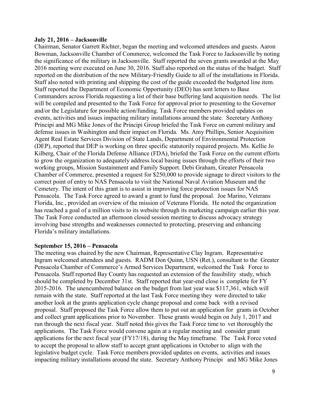#### **July 21, 2016 – Jacksonville**

Chairman, Senator Garrett Richter, began the meeting and welcomed attendees and guests. Aaron Bowman, Jacksonville Chamber of Commerce, welcomed the Task Force to Jacksonville by noting the significance of the military in Jacksonville. Staff reported the seven grants awarded at the May 2016 meeting were executed on June 30, 2016. Staff also reported on the status of the budget. Staff reported on the distribution of the new Military-Friendly Guide to all of the installations in Florida. Staff also noted with printing and shipping the cost of the guide exceeded the budgeted line item. Staff reported the Department of Economic Opportunity (DEO) has sent letters to Base Commanders across Florida requesting a list of their base buffering land acquisition needs. The list will be compiled and presented to the Task Force for approval prior to presenting to the Governor and/or the Legislature for possible action/funding. Task Force members provided updates on events, activities and issues impacting military installations around the state. Secretary Anthony Principi and MG Mike Jones of the Principi Group briefed the Task Force on current military and defense issues in Washington and their impact on Florida. Ms. Amy Phillips, Senior Acquisition Agent Real Estate Services Division of State Lands, Department of Environmental Protection (DEP), reported that DEP is working on three specific statutorily required projects. Ms. Kellie Jo Kilberg, Chair of the Florida Defense Alliance (FDA), briefed the Task Force on the current efforts to grow the organization to adequately address local basing issues through the efforts of their two working groups, Mission Sustainment and Family Support. Debi Graham, Greater Pensacola Chamber of Commerce, presented a request for \$250,000 to provide signage to direct visitors to the correct point of entry to NAS Pensacola to visit the National Naval Aviation Museum and the Cemetery. The intent of this grant is to assist in improving force protection issues for NAS Pensacola. The Task Force agreed to award a grant to fund the proposal. Joe Marino, Veterans Florida, Inc., provided an overview of the mission of Veterans Florida. He noted the organization has reached a goal of a million visits to its website through its marketing campaign earlier this year. The Task Force conducted an afternoon closed session meeting to discuss advocacy strategy involving base strengths and weaknesses connected to protecting, preserving and enhancing Florida's military installations.

#### **September 15, 2016 – Pensacola**

The meeting was chaired by the new Chairman, Representative Clay Ingram. Representative Ingram welcomed attendees and guests. RADM Don Quinn, USN (Ret.), consultant to the Greater Pensacola Chamber of Commerce's Armed Services Department, welcomed the Task Force to Pensacola. Staff reported Bay County has requested an extension of the feasibility study, which should be completed by December 31st. Staff reported that year-end close is complete for FY 2015-2016. The unencumbered balance on the budget from last year was \$117,361, which will remain with the state. Staff reported at the last Task Force meeting they were directed to take another look at the grants application cycle change proposal and come back with a revised proposal. Staff proposed the Task Force allow them to put out an application for grants in October and collect grant applications prior to November. These grants would begin on July 1, 2017 and run through the next fiscal year. Staff noted this gives the Task Force time to vet thoroughly the applications. The Task Force would convene again at a regular meeting and consider grant applications for the next fiscal year (FY17/18), during the May timeframe. The Task Force voted to accept the proposal to allow staff to accept grant applications in October to align with the legislative budget cycle. Task Force members provided updates on events, activities and issues impacting military installations around the state. Secretary Anthony Principi and MG Mike Jones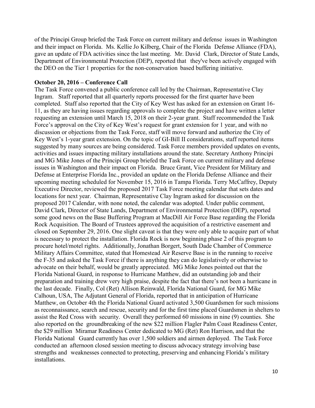of the Principi Group briefed the Task Force on current military and defense issues in Washington and their impact on Florida. Ms. Kellie Jo Kilberg, Chair of the Florida Defense Alliance (FDA), gave an update of FDA activities since the last meeting. Mr. David Clark, Director of State Lands, Department of Environmental Protection (DEP), reported that they've been actively engaged with the DEO on the Tier 1 properties for the non-conservation based buffering initiative.

#### **October 20, 2016 – Conference Call**

The Task Force convened a public conference call led by the Chairman, Representative Clay Ingram. Staff reported that all quarterly reports processed for the first quarter have been completed. Staff also reported that the City of Key West has asked for an extension on Grant 16- 11, as they are having issues regarding approvals to complete the project and have written a letter requesting an extension until March 15, 2018 on their 2-year grant. Staff recommended the Task Force's approval on the City of Key West's request for grant extension for 1 year, and with no discussion or objections from the Task Force, staff will move forward and authorize the City of Key West's 1-year grant extension. On the topic of GI-Bill II considerations, staff reported items suggested by many sources are being considered. Task Force members provided updates on events, activities and issues impacting military installations around the state. Secretary Anthony Principi and MG Mike Jones of the Principi Group briefed the Task Force on current military and defense issues in Washington and their impact on Florida. Bruce Grant, Vice President for Military and Defense at Enterprise Florida Inc., provided an update on the Florida Defense Alliance and their upcoming meeting scheduled for November 15, 2016 in Tampa Florida. Terry McCaffrey, Deputy Executive Director, reviewed the proposed 2017 Task Force meeting calendar that sets dates and locations for next year. Chairman, Representative Clay Ingram asked for discussion on the proposed 2017 Calendar, with none noted, the calendar was adopted. Under public comment, David Clark, Director of State Lands, Department of Environmental Protection (DEP), reported some good news on the Base Buffering Program at MacDill Air Force Base regarding the Florida Rock Acquisition. The Board of Trustees approved the acquisition of a restrictive easement and closed on September 29, 2016. One slight caveat is that they were only able to acquire part of what is necessary to protect the installation. Florida Rock is now beginning phase 2 of this program to procure hotel/motel rights. Additionally, Jonathan Borgert, South Dade Chamber of Commerce Military Affairs Committee, stated that Homestead Air Reserve Base is in the running to receive the F-35 and asked the Task Force if there is anything they can do legislatively or otherwise to advocate on their behalf, would be greatly appreciated. MG Mike Jones pointed out that the Florida National Guard, in response to Hurricane Matthew, did an outstanding job and their preparation and training drew very high praise, despite the fact that there's not been a hurricane in the last decade. Finally, Col (Ret) Allison Reinwald, Florida National Guard, for MG Mike Calhoun, USA, The Adjutant General of Florida, reported that in anticipation of Hurricane Matthew, on October 4th the Florida National Guard activated 3,500 Guardsmen for such missions as reconnaissance, search and rescue, security and for the first time placed Guardsmen in shelters to assist the Red Cross with security. Overall they performed 60 missions in nine (9) counties. She also reported on the groundbreaking of the new \$22 million Flagler Palm Coast Readiness Center, the \$29 million Miramar Readiness Center dedicated to MG (Ret) Ron Harrison, and that the Florida National Guard currently has over 1,500 soldiers and airmen deployed. The Task Force conducted an afternoon closed session meeting to discuss advocacy strategy involving base strengths and weaknesses connected to protecting, preserving and enhancing Florida's military installations.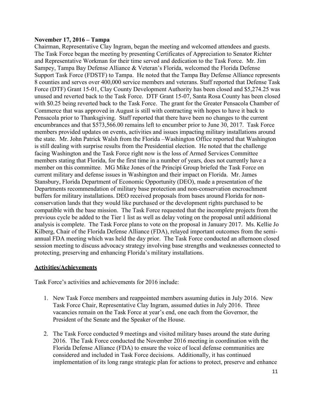#### **November 17, 2016 – Tampa**

Chairman, Representative Clay Ingram, began the meeting and welcomed attendees and guests. The Task Force began the meeting by presenting Certificates of Appreciation to Senator Richter and Representative Workman for their time served and dedication to the Task Force. Mr. Jim Sampey, Tampa Bay Defense Alliance & Veteran's Florida, welcomed the Florida Defense Support Task Force (FDSTF) to Tampa. He noted that the Tampa Bay Defense Alliance represents 8 counties and serves over 400,000 service members and veterans. Staff reported that Defense Task Force (DTF) Grant 15-01, Clay County Development Authority has been closed and \$5,274.25 was unused and reverted back to the Task Force. DTF Grant 15-07, Santa Rosa County has been closed with \$0.25 being reverted back to the Task Force. The grant for the Greater Pensacola Chamber of Commerce that was approved in August is still with contracting with hopes to have it back to Pensacola prior to Thanksgiving. Staff reported that there have been no changes to the current encumbrances and that \$573,566.00 remains left to encumber prior to June 30, 2017. Task Force members provided updates on events, activities and issues impacting military installations around the state. Mr. John Patrick Walsh from the Florida –Washington Office reported that Washington is still dealing with surprise results from the Presidential election. He noted that the challenge facing Washington and the Task Force right now is the loss of Armed Services Committee members stating that Florida, for the first time in a number of years, does not currently have a member on this committee. MG Mike Jones of the Principi Group briefed the Task Force on current military and defense issues in Washington and their impact on Florida. Mr. James Stansbury, Florida Department of Economic Opportunity (DEO), made a presentation of the Departments recommendation of military base protection and non-conservation encroachment buffers for military installations. DEO received proposals from bases around Florida for nonconservation lands that they would like purchased or the development rights purchased to be compatible with the base mission. The Task Force requested that the incomplete projects from the previous cycle be added to the Tier 1 list as well as delay voting on the proposal until additional analysis is complete. The Task Force plans to vote on the proposal in January 2017. Ms. Kellie Jo Kilberg, Chair of the Florida Defense Alliance (FDA), relayed important outcomes from the semiannual FDA meeting which was held the day prior. The Task Force conducted an afternoon closed session meeting to discuss advocacy strategy involving base strengths and weaknesses connected to protecting, preserving and enhancing Florida's military installations.

#### **Activities/Achievements**

Task Force's activities and achievements for 2016 include:

- 1. New Task Force members and reappointed members assuming duties in July 2016. New Task Force Chair, Representative Clay Ingram, assumed duties in July 2016. Three vacancies remain on the Task Force at year's end, one each from the Governor, the President of the Senate and the Speaker of the House.
- 2. The Task Force conducted 9 meetings and visited military bases around the state during 2016. The Task Force conducted the November 2016 meeting in coordination with the Florida Defense Alliance (FDA) to ensure the voice of local defense communities are considered and included in Task Force decisions. Additionally, it has continued implementation of its long range strategic plan for actions to protect, preserve and enhance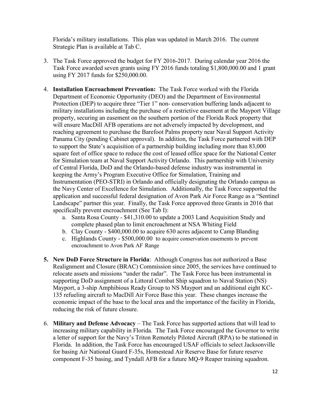Florida's military installations. This plan was updated in March 2016. The current Strategic Plan is available at Tab C.

- 3. The Task Force approved the budget for FY 2016-2017. During calendar year 2016 the Task Force awarded seven grants using FY 2016 funds totaling \$1,800,000.00 and 1 grant using FY 2017 funds for \$250,000.00.
- 4. **Installation Encroachment Prevention:** The Task Force worked with the Florida Department of Economic Opportunity (DEO) and the Department of Environmental Protection (DEP) to acquire three "Tier 1" non- conservation buffering lands adjacent to military installations including the purchase of a restrictive easement at the Mayport Village property, securing an easement on the southern portion of the Florida Rock property that will ensure MacDill AFB operations are not adversely impacted by development, and reaching agreement to purchase the Barefoot Palms property near Naval Support Activity Panama City (pending Cabinet approval). In addition, the Task Force partnered with DEP to support the State's acquisition of a partnership building including more than 83,000 square feet of office space to reduce the cost of leased office space for the National Center for Simulation team at Naval Support Activity Orlando. This partnership with University of Central Florida, DoD and the Orlando-based defense industry was instrumental in keeping the Army's Program Executive Office for Simulation, Training and Instrumentation (PEO-STRI) in Orlando and officially designating the Orlando campus as the Navy Center of Excellence for Simulation. Additionally, the Task Force supported the application and successful federal designation of Avon Park Air Force Range as a "Sentinel Landscape" partner this year. Finally, the Task Force approved three Grants in 2016 that specifically prevent encroachment (See Tab I):
	- a. Santa Rosa County \$41,310.00 to update a 2003 Land Acquisition Study and complete phased plan to limit encroachment at NSA Whiting Field
	- b. Clay County \$400,000.00 to acquire 630 acres adjacent to Camp Blanding
	- c. Highlands County \$500,000.00 to acquire conservation easements to prevent encroachment to Avon Park AF Range
- **5. New DoD Force Structure in Florida**: Although Congress has not authorized a Base Realignment and Closure (BRAC) Commission since 2005, the services have continued to relocate assets and missions "under the radar". The Task Force has been instrumental in supporting DoD assignment of a Littoral Combat Ship squadron to Naval Station (NS) Mayport, a 3-ship Amphibious Ready Group to NS Mayport and an additional eight KC-135 refueling aircraft to MacDill Air Force Base this year. These changes increase the economic impact of the base to the local area and the importance of the facility in Florida, reducing the risk of future closure.
- 6. **Military and Defense Advocacy** The Task Force has supported actions that will lead to increasing military capability in Florida. The Task Force encouraged the Governor to write a letter of support for the Navy's Triton Remotely Piloted Aircraft (RPA) to be stationed in Florida. In addition, the Task Force has encouraged USAF officials to select Jacksonville for basing Air National Guard F-35s, Homestead Air Reserve Base for future reserve component F-35 basing, and Tyndall AFB for a future MQ-9 Reaper training squadron.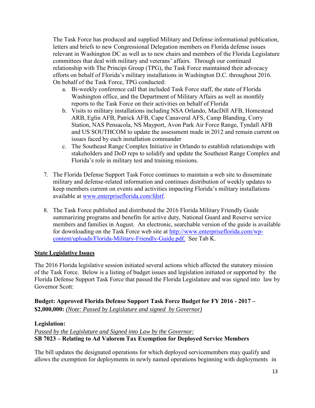The Task Force has produced and supplied Military and Defense informational publication, letters and briefs to new Congressional Delegation members on Florida defense issues relevant in Washington DC as well as to new chairs and members of the Florida Legislature committees that deal with military and veterans' affairs. Through our continued relationship with The Principi Group (TPG), the Task Force maintained their advocacy efforts on behalf of Florida's military installations in Washington D.C. throughout 2016. On behalf of the Task Force, TPG conducted:

- a. Bi-weekly conference call that included Task Force staff, the state of Florida Washington office, and the Department of Military Affairs as well as monthly reports to the Task Force on their activities on behalf of Florida
- b. Visits to military installations including NSA Orlando, MacDill AFB, Homestead ARB, Eglin AFB, Patrick AFB, Cape Canaveral AFS, Camp Blanding, Corry Station, NAS Pensacola, NS Mayport, Avon Park Air Force Range, Tyndall AFB and US SOUTHCOM to update the assessment made in 2012 and remain current on issues faced by each installation commander
- c. The Southeast Range Complex Initiative in Orlando to establish relationships with stakeholders and DoD reps to solidify and update the Southeast Range Complex and Florida's role in military test and training missions.
- 7. The Florida Defense Support Task Force continues to maintain a web site to disseminate military and defense-related information and continues distribution of weekly updates to keep members current on events and activities impacting Florida's military installations available at [www.enterpriseflorida.com/fdstf.](http://www.enterpriseflorida.com/fdstf)
- 8. The Task Force published and distributed the 2016 Florida Military Friendly Guide summarizing programs and benefits for active duty, National Guard and Reserve service members and families in August. An electronic, searchable version of the guide is available for downloading on the Task Force web site at [http://www.enterpriseflorida.com/wp](http://www.enterpriseflorida.com/wp-content/uploads/Florida-Military-Friendly-Guide.pdf)[content/uploads/Florida-Military-Friendly-Guide.pdf. S](http://www.enterpriseflorida.com/wp-content/uploads/Florida-Military-Friendly-Guide.pdf)ee Tab K.

#### **State Legislative Issues**

The 2016 Florida legislative session initiated several actions which affected the statutory mission of the Task Force. Below is a listing of budget issues and legislation initiated or supported by the Florida Defense Support Task Force that passed the Florida Legislature and was signed into law by Governor Scott:

**Budget: Approved Florida Defense Support Task Force Budget for FY 2016 - 2017 – \$2,000,000:** *(Note: Passed by Legislature and signed by Governor)*

#### **Legislation:**

*Passed by the Legislature and Signed into Law by the Governor:* **SB 7023 – Relating to Ad Valorem Tax Exemption for Deployed Service Members**

The bill updates the designated operations for which deployed servicemembers may qualify and allows the exemption for deployments in newly named operations beginning with deployments in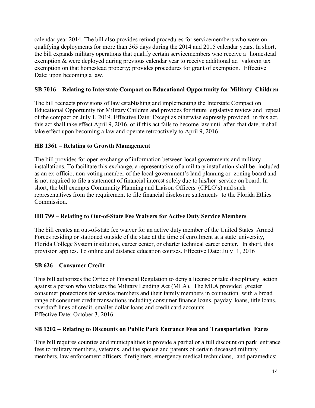calendar year 2014. The bill also provides refund procedures for servicemembers who were on qualifying deployments for more than 365 days during the 2014 and 2015 calendar years. In short, the bill expands military operations that qualify certain servicemembers who receive a homestead exemption & were deployed during previous calendar year to receive additional ad valorem tax exemption on that homestead property; provides procedures for grant of exemption. Effective Date: upon becoming a law.

#### **SB 7016 – Relating to Interstate Compact on Educational Opportunity for Military Children**

The bill reenacts provisions of law establishing and implementing the Interstate Compact on Educational Opportunity for Military Children and provides for future legislative review and repeal of the compact on July 1, 2019. Effective Date: Except as otherwise expressly provided in this act, this act shall take effect April 9, 2016, or if this act fails to become law until after that date, it shall take effect upon becoming a law and operate retroactively to April 9, 2016.

#### **HB 1361 – Relating to Growth Management**

The bill provides for open exchange of information between local governments and military installations. To facilitate this exchange, a representative of a military installation shall be included as an ex-officio, non-voting member of the local government's land planning or zoning board and is not required to file a statement of financial interest solely due to his/her service on board. In short, the bill exempts Community Planning and Liaison Officers (CPLO's) and such representatives from the requirement to file financial disclosure statements to the Florida Ethics Commission.

#### **HB 799 – Relating to Out-of-State Fee Waivers for Active Duty Service Members**

The bill creates an out-of-state fee waiver for an active duty member of the United States Armed Forces residing or stationed outside of the state at the time of enrollment at a state university, Florida College System institution, career center, or charter technical career center. In short, this provision applies. To online and distance education courses. Effective Date: July 1, 2016

#### **SB 626 – Consumer Credit**

This bill authorizes the Office of Financial Regulation to deny a license or take disciplinary action against a person who violates the Military Lending Act (MLA). The MLA provided greater consumer protections for service members and their family members in connection with a broad range of consumer credit transactions including consumer finance loans, payday loans, title loans, overdraft lines of credit, smaller dollar loans and credit card accounts. Effective Date: October 3, 2016.

#### **SB 1202 – Relating to Discounts on Public Park Entrance Fees and Transportation Fares**

This bill requires counties and municipalities to provide a partial or a full discount on park entrance fees to military members, veterans, and the spouse and parents of certain deceased military members, law enforcement officers, firefighters, emergency medical technicians, and paramedics;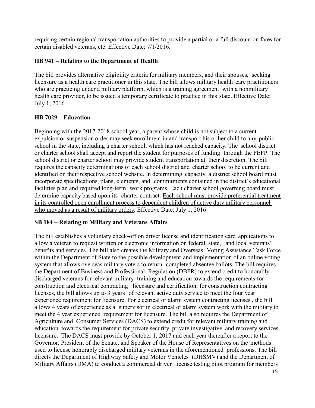requiring certain regional transportation authorities to provide a partial or a full discount on fares for certain disabled veterans, etc. Effective Date: 7/1/2016.

#### **HB 941 – Relating to the Department of Health**

The bill provides alternative eligibility criteria for military members, and their spouses, seeking licensure as a health care practitioner in this state. The bill allows military health care practitioners who are practicing under a military platform, which is a training agreement with a nonmilitary health care provider, to be issued a temporary certificate to practice in this state. Effective Date: July 1, 2016.

#### **HB 7029 – Education**

Beginning with the 2017-2018 school year, a parent whose child is not subject to a current expulsion or suspension order may seek enrollment in and transport his or her child to any public school in the state, including a charter school, which has not reached capacity. The school district or charter school shall accept and report the student for purposes of funding through the FEFP. The school district or charter school may provide student transportation at their discretion. The bill requires the capacity determinations of each school district and charter school to be current and identified on their respective school website. In determining capacity, a district school board must incorporate specifications, plans, elements, and commitments contained in the district's educational facilities plan and required long-term work programs. Each charter school governing board must determine capacity based upon its charter contract. Each school must provide preferential treatment in its controlled open enrollment process to dependent children of active duty military personnel who moved as a result of military orders. Effective Date: July 1, 2016

#### **SB 184 – Relating to Military and Veterans Affairs**

The bill establishes a voluntary check-off on driver license and identification card applications to allow a veteran to request written or electronic information on federal, state, and local veterans' benefits and services. The bill also creates the Military and Overseas Voting Assistance Task Force within the Department of State to the possible development and implementation of an online voting system that allows overseas military voters to return completed absentee ballots. The bill requires the Department of Business and Professional Regulation (DBPR) to extend credit to honorably discharged veterans for relevant military training and education towards the requirements for construction and electrical contracting licensure and certification; for construction contracting licenses, the bill allows up to 3 years of relevant active duty service to meet the four year experience requirement for licensure. For electrical or alarm system contracting licenses , the bill allows 4 years of experience as a supervisor in electrical or alarm system work with the military to meet the 4 year experience requirement for licensure. The bill also requires the Department of Agriculture and Consumer Services (DACS) to extend credit for relevant military training and education towards the requirement for private security, private investigative, and recovery services licensure. The DACS must provide by October 1, 2017 and each year thereafter a report to the Governor, President of the Senate, and Speaker of the House of Representatives on the methods used to license honorably discharged military veterans in the aforementioned professions. The bill directs the Department of Highway Safety and Motor Vehicles (DHSMV) and the Department of Military Affairs (DMA) to conduct a commercial driver license testing pilot program for members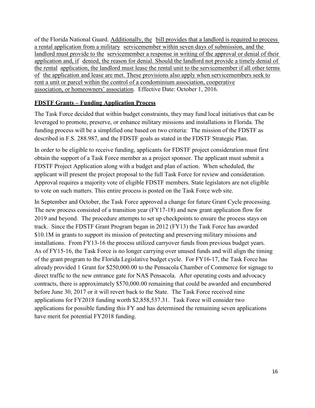of the Florida National Guard. Additionally, the bill provides that a landlord is required to process a rental application from a military servicemember within seven days of submission, and the landlord must provide to the servicemember a response in writing of the approval or denial of their application and, if denied, the reason for denial. Should the landlord not provide a timely denial of the rental application, the landlord must lease the rental unit to the servicemember if all other terms of the application and lease are met. These provisions also apply when servicemembers seek to rent a unit or parcel within the control of a condominium association, cooperative association, or homeowners' association. Effective Date: October 1, 2016.

#### **FDSTF Grants – Funding Application Process**

The Task Force decided that within budget constraints, they may fund local initiatives that can be leveraged to promote, preserve, or enhance military missions and installations in Florida. The funding process will be a simplified one based on two criteria: The mission of the FDSTF as described in F.S. 288.987, and the FDSTF goals as stated in the FDSTF Strategic Plan.

In order to be eligible to receive funding, applicants for FDSTF project consideration must first obtain the support of a Task Force member as a project sponsor. The applicant must submit a FDSTF Project Application along with a budget and plan of action. When scheduled, the applicant will present the project proposal to the full Task Force for review and consideration. Approval requires a majority vote of eligible FDSTF members. State legislators are not eligible to vote on such matters. This entire process is posted on the Task Force web site.

In September and October, the Task Force approved a change for future Grant Cycle processing. The new process consisted of a transition year (FY17-18) and new grant application flow for 2019 and beyond. The procedure attempts to set up checkpoints to ensure the process stays on track. Since the FDSTF Grant Program began in 2012 (FY13) the Task Force has awarded \$10.1M in grants to support its mission of protecting and preserving military missions and installations. From FY13-16 the process utilized carryover funds from previous budget years. As of FY15-16, the Task Force is no longer carrying over unused funds and will align the timing of the grant program to the Florida Legislative budget cycle. For FY16-17, the Task Force has already provided 1 Grant for \$250,000.00 to the Pensacola Chamber of Commerce for signage to direct traffic to the new entrance gate for NAS Pensacola. After operating costs and advocacy contracts, there is approximately \$570,000.00 remaining that could be awarded and encumbered before June 30, 2017 or it will revert back to the State. The Task Force received nine applications for FY2018 funding worth \$2,858,537.31. Task Force will consider two applications for possible funding this FY and has determined the remaining seven applications have merit for potential FY2018 funding.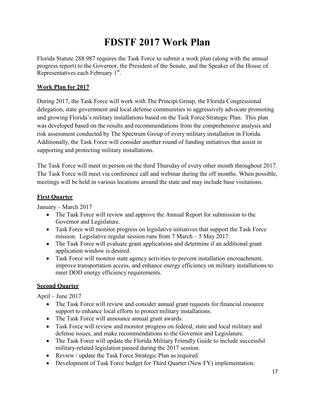## **FDSTF 2017 Work Plan**

Florida Statute 288.987 requires the Task Force to submit a work plan (along with the annual progress report) to the Governor, the President of the Senate, and the Speaker of the House of Representatives each February 1<sup>st</sup>.

#### **Work Plan for 2017**

During 2017, the Task Force will work with The Principi Group, the Florida Congressional delegation, state government and local defense communities to aggressively advocate promoting and growing Florida's military installations based on the Task Force Strategic Plan. This plan was developed based on the results and recommendations from the comprehensive analysis and risk assessment conducted by The Spectrum Group of every military installation in Florida. Additionally, the Task Force will consider another round of funding initiatives that assist in supporting and protecting military installations.

The Task Force will meet in person on the third Thursday of every other month throughout 2017. The Task Force will meet via conference call and webinar during the off months. When possible, meetings will be held in various locations around the state and may include base visitations.

#### **First Quarter**

January – March 2017

- The Task Force will review and approve the Annual Report for submission to the Governor and Legislature.
- Task Force will monitor progress on legislative initiatives that support the Task Force mission. Legislative regular session runs from 7 March – 5 May 2017.
- The Task Force will evaluate grant applications and determine if an additional grant application window is desired.
- Task Force will monitor state agency activities to prevent installation encroachment, improve transportation access, and enhance energy efficiency on military installations to meet DOD energy efficiency requirements.

#### **Second Quarter**

April – June 2017

- The Task Force will review and consider annual grant requests for financial resource support to enhance local efforts to protect military installations.
- The Task Force will announce annual grant awards.
- Task Force will review and monitor progress on federal, state and local military and defense issues, and make recommendations to the Governor and Legislature.
- The Task Force will update the Florida Military Friendly Guide to include successful military-related legislation passed during the 2017 session.
- Review / update the Task Force Strategic Plan as required.
- Development of Task Force budget for Third Quarter (New FY) implementation.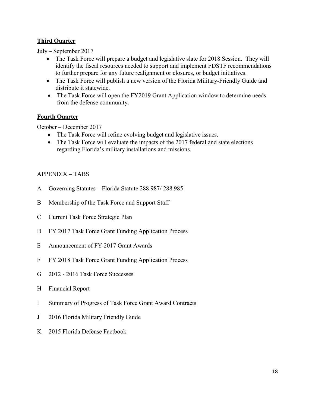#### **Third Quarter**

July – September 2017

- The Task Force will prepare a budget and legislative slate for 2018 Session. They will identify the fiscal resources needed to support and implement FDSTF recommendations to further prepare for any future realignment or closures, or budget initiatives.
- The Task Force will publish a new version of the Florida Military-Friendly Guide and distribute it statewide.
- The Task Force will open the FY2019 Grant Application window to determine needs from the defense community.

#### **Fourth Quarter**

October – December 2017

- The Task Force will refine evolving budget and legislative issues.
- The Task Force will evaluate the impacts of the 2017 federal and state elections regarding Florida's military installations and missions.

#### APPENDIX – TABS

- A Governing Statutes Florida Statute 288.987/ 288.985
- B Membership of the Task Force and Support Staff
- C Current Task Force Strategic Plan
- D FY 2017 Task Force Grant Funding Application Process
- E Announcement of FY 2017 Grant Awards
- F FY 2018 Task Force Grant Funding Application Process
- G 2012 2016 Task Force Successes
- H Financial Report
- I Summary of Progress of Task Force Grant Award Contracts
- J 2016 Florida Military Friendly Guide
- K 2015 Florida Defense Factbook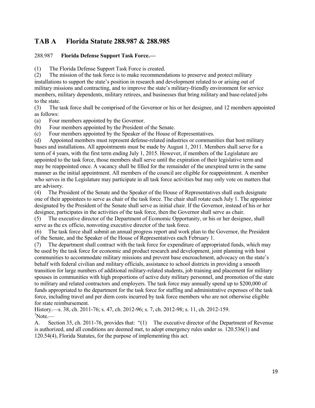#### **TAB A Florida Statute 288.987 & 288.985**

#### 288.987 **Florida Defense Support Task Force.—**

(1) The Florida Defense Support Task Force is created.

(2) The mission of the task force is to make recommendations to preserve and protect military installations to support the state's position in research and development related to or arising out of military missions and contracting, and to improve the state's military-friendly environment for service members, military dependents, military retirees, and businesses that bring military and base-related jobs to the state.

(3) The task force shall be comprised of the Governor or his or her designee, and 12 members appointed as follows:

(a) Four members appointed by the Governor.

- (b) Four members appointed by the President of the Senate.
- (c) Four members appointed by the Speaker of the House of Representatives.

(d) Appointed members must represent defense-related industries or communities that host military bases and installations. All appointments must be made by August 1, 2011. Members shall serve for a term of 4 years, with the first term ending July 1, 2015. However, if members of the Legislature are appointed to the task force, those members shall serve until the expiration of their legislative term and may be reappointed once. A vacancy shall be filled for the remainder of the unexpired term in the same manner as the initial appointment. All members of the council are eligible for reappointment. A member who serves in the Legislature may participate in all task force activities but may only vote on matters that are advisory.

(4) The President of the Senate and the Speaker of the House of Representatives shall each designate one of their appointees to serve as chair of the task force. The chair shall rotate each July 1. The appointee designated by the President of the Senate shall serve as initial chair. If the Governor, instead of his or her designee, participates in the activities of the task force, then the Governor shall serve as chair.

(5) The executive director of the Department of Economic Opportunity, or his or her designee, shall serve as the ex officio, nonvoting executive director of the task force.

(6) The task force shall submit an annual progress report and work plan to the Governor, the President of the Senate, and the Speaker of the House of Representatives each February 1.

(7) The department shall contract with the task force for expenditure of appropriated funds, which may be used by the task force for economic and product research and development, joint planning with host communities to accommodate military missions and prevent base encroachment, advocacy on the state's behalf with federal civilian and military officials, assistance to school districts in providing a smooth transition for large numbers of additional military-related students, job training and placement for military spouses in communities with high proportions of active duty military personnel, and promotion of the state to military and related contractors and employers. The task force may annually spend up to \$200,000 of funds appropriated to the department for the task force for staffing and administrative expenses of the task force, including travel and per diem costs incurred by task force members who are not otherwise eligible for state reimbursement.

History.—s. 38, ch. 2011-76; s. 47, ch. 2012-96; s. 7, ch. 2012-98; s. 11, ch. 2012-159.  $\mathrm{^{1}N}$ ote $\mathrm{=}$ 

A. Section 35, ch. 2011-76, provides that: "(1) The executive director of the Department of Revenue is authorized, and all conditions are deemed met, to adopt emergency rules under ss. 120.536(1) and 120.54(4), Florida Statutes, for the purpose of implementing this act.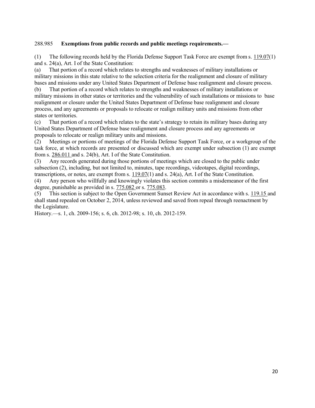#### 288.985 **Exemptions from public records and public meetings requirements.—**

(1) The following records held by the Florida Defense Support Task Force are exempt from s. 119.07(1) and s. 24(a), Art. I of the State Constitution:

(a) That portion of a record which relates to strengths and weaknesses of military installations or military missions in this state relative to the selection criteria for the realignment and closure of military bases and missions under any United States Department of Defense base realignment and closure process.

(b) That portion of a record which relates to strengths and weaknesses of military installations or military missions in other states or territories and the vulnerability of such installations or missions to base realignment or closure under the United States Department of Defense base realignment and closure process, and any agreements or proposals to relocate or realign military units and missions from other states or territories.

(c) That portion of a record which relates to the state's strategy to retain its military bases during any United States Department of Defense base realignment and closure process and any agreements or proposals to relocate or realign military units and missions.

(2) Meetings or portions of meetings of the Florida Defense Support Task Force, or a workgroup of the task force, at which records are presented or discussed which are exempt under subsection (1) are exempt from s. 286.011 and s. 24(b), Art. I of the State Constitution.

(3) Any records generated during those portions of meetings which are closed to the public under subsection (2), including, but not limited to, minutes, tape recordings, videotapes, digital recordings, transcriptions, or notes, are exempt from s.  $119.07(1)$  and s. 24(a), Art. I of the State Constitution.

(4) Any person who willfully and knowingly violates this section commits a misdemeanor of the first degree, punishable as provided in s. 775.082 or s. 775.083.

(5) This section is subject to the Open Government Sunset Review Act in accordance with s. 119.15 and shall stand repealed on October 2, 2014, unless reviewed and saved from repeal through reenactment by the Legislature.

History.—s. 1, ch. 2009-156; s. 6, ch. 2012-98; s. 10, ch. 2012-159.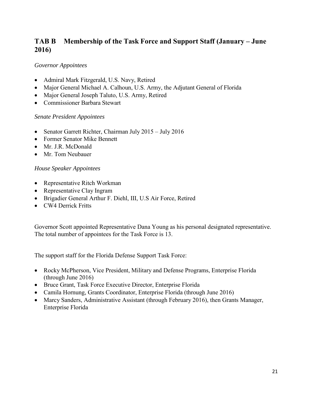#### **TAB B Membership of the Task Force and Support Staff (January – June 2016)**

#### *Governor Appointees*

- Admiral Mark Fitzgerald, U.S. Navy, Retired
- Major General Michael A. Calhoun, U.S. Army, the Adjutant General of Florida
- Major General Joseph Taluto, U.S. Army, Retired
- Commissioner Barbara Stewart

#### *Senate President Appointees*

- Senator Garrett Richter, Chairman July 2015 July 2016
- Former Senator Mike Bennett
- Mr. J.R. McDonald
- Mr. Tom Neubauer

#### *House Speaker Appointees*

- Representative Ritch Workman
- Representative Clay Ingram
- Brigadier General Arthur F. Diehl, III, U.S Air Force, Retired
- CW4 Derrick Fritts

Governor Scott appointed Representative Dana Young as his personal designated representative. The total number of appointees for the Task Force is 13.

The support staff for the Florida Defense Support Task Force:

- Rocky McPherson, Vice President, Military and Defense Programs, Enterprise Florida (through June 2016)
- Bruce Grant, Task Force Executive Director, Enterprise Florida
- Camila Hornung, Grants Coordinator, Enterprise Florida (through June 2016)
- Marcy Sanders, Administrative Assistant (through February 2016), then Grants Manager, Enterprise Florida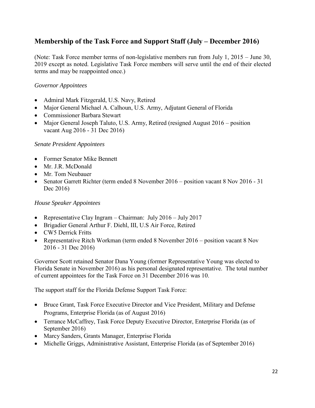#### **Membership of the Task Force and Support Staff (July – December 2016)**

(Note: Task Force member terms of non-legislative members run from July 1, 2015 – June 30, 2019 except as noted. Legislative Task Force members will serve until the end of their elected terms and may be reappointed once.)

#### *Governor Appointees*

- Admiral Mark Fitzgerald, U.S. Navy, Retired
- Major General Michael A. Calhoun, U.S. Army, Adjutant General of Florida
- Commissioner Barbara Stewart
- Major General Joseph Taluto, U.S. Army, Retired (resigned August 2016 position vacant Aug 2016 - 31 Dec 2016)

#### *Senate President Appointees*

- Former Senator Mike Bennett
- Mr. J.R. McDonald
- Mr. Tom Neubauer
- Senator Garrett Richter (term ended 8 November 2016 position vacant 8 Nov 2016 31 Dec 2016)

#### *House Speaker Appointees*

- Representative Clay Ingram Chairman: July  $2016 \text{July } 2017$
- Brigadier General Arthur F. Diehl, III, U.S Air Force, Retired
- CW5 Derrick Fritts
- Representative Ritch Workman (term ended 8 November 2016 position vacant 8 Nov 2016 - 31 Dec 2016)

Governor Scott retained Senator Dana Young (former Representative Young was elected to Florida Senate in November 2016) as his personal designated representative. The total number of current appointees for the Task Force on 31 December 2016 was 10.

The support staff for the Florida Defense Support Task Force:

- Bruce Grant, Task Force Executive Director and Vice President, Military and Defense Programs, Enterprise Florida (as of August 2016)
- Terrance McCaffrey, Task Force Deputy Executive Director, Enterprise Florida (as of September 2016)
- Marcy Sanders, Grants Manager, Enterprise Florida
- Michelle Griggs, Administrative Assistant, Enterprise Florida (as of September 2016)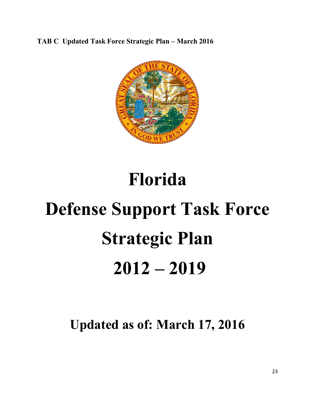**TAB C Updated Task Force Strategic Plan – March 2016**



# **Florida Defense Support Task Force Strategic Plan 2012 – 2019**

**Updated as of: March 17, 2016**

23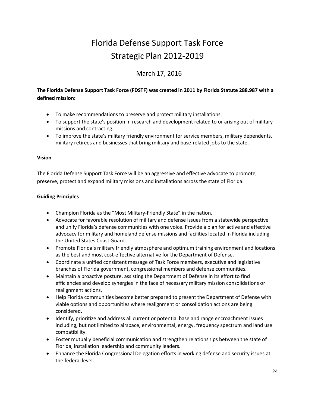## Florida Defense Support Task Force Strategic Plan 2012-2019

#### March 17, 2016

#### **The Florida Defense Support Task Force (FDSTF) was created in 2011 by Florida Statute 288.987 with a defined mission:**

- To make recommendations to preserve and protect military installations.
- To support the state's position in research and development related to or arising out of military missions and contracting.
- To improve the state's military friendly environment for service members, military dependents, military retirees and businesses that bring military and base-related jobs to the state.

#### **Vision**

The Florida Defense Support Task Force will be an aggressive and effective advocate to promote, preserve, protect and expand military missions and installations across the state of Florida.

#### **Guiding Principles**

- Champion Florida as the "Most Military-Friendly State" in the nation.
- Advocate for favorable resolution of military and defense issues from a statewide perspective and unify Florida's defense communities with one voice. Provide a plan for active and effective advocacy for military and homeland defense missions and facilities located in Florida including the United States Coast Guard.
- Promote Florida's military friendly atmosphere and optimum training environment and locations as the best and most cost-effective alternative for the Department of Defense.
- Coordinate a unified consistent message of Task Force members, executive and legislative branches of Florida government, congressional members and defense communities.
- Maintain a proactive posture, assisting the Department of Defense in its effort to find efficiencies and develop synergies in the face of necessary military mission consolidations or realignment actions.
- Help Florida communities become better prepared to present the Department of Defense with viable options and opportunities where realignment or consolidation actions are being considered.
- Identify, prioritize and address all current or potential base and range encroachment issues including, but not limited to airspace, environmental, energy, frequency spectrum and land use compatibility.
- Foster mutually beneficial communication and strengthen relationships between the state of Florida, installation leadership and community leaders.
- Enhance the Florida Congressional Delegation efforts in working defense and security issues at the federal level.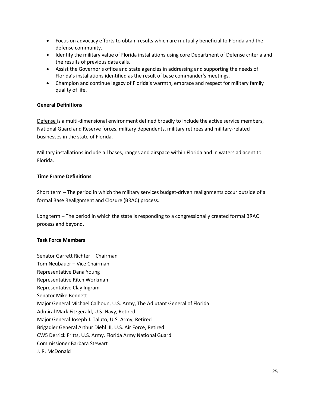- Focus on advocacy efforts to obtain results which are mutually beneficial to Florida and the defense community.
- Identify the military value of Florida installations using core Department of Defense criteria and the results of previous data calls.
- Assist the Governor's office and state agencies in addressing and supporting the needs of Florida's installations identified as the result of base commander's meetings.
- Champion and continue legacy of Florida's warmth, embrace and respect for military family quality of life.

#### **General Definitions**

Defense is a multi-dimensional environment defined broadly to include the active service members, National Guard and Reserve forces, military dependents, military retirees and military-related businesses in the state of Florida.

Military installations include all bases, ranges and airspace within Florida and in waters adjacent to Florida.

#### **Time Frame Definitions**

Short term – The period in which the military services budget-driven realignments occur outside of a formal Base Realignment and Closure (BRAC) process.

Long term – The period in which the state is responding to a congressionally created formal BRAC process and beyond.

#### **Task Force Members**

Senator Garrett Richter – Chairman Tom Neubauer – Vice Chairman Representative Dana Young Representative Ritch Workman Representative Clay Ingram Senator Mike Bennett Major General Michael Calhoun, U.S. Army, The Adjutant General of Florida Admiral Mark Fitzgerald, U.S. Navy, Retired Major General Joseph J. Taluto, U.S. Army, Retired Brigadier General Arthur Diehl III, U.S. Air Force, Retired CW5 Derrick Fritts, U.S. Army. Florida Army National Guard Commissioner Barbara Stewart J. R. McDonald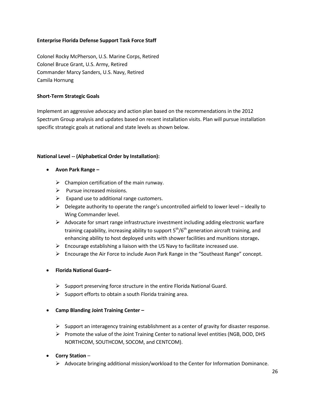#### **Enterprise Florida Defense Support Task Force Staff**

Colonel Rocky McPherson, U.S. Marine Corps, Retired Colonel Bruce Grant, U.S. Army, Retired Commander Marcy Sanders, U.S. Navy, Retired Camila Hornung

#### **Short-Term Strategic Goals**

Implement an aggressive advocacy and action plan based on the recommendations in the 2012 Spectrum Group analysis and updates based on recent installation visits. Plan will pursue installation specific strategic goals at national and state levels as shown below.

#### **National Level -- (Alphabetical Order by Installation):**

- **Avon Park Range –**
	- $\triangleright$  Champion certification of the main runway.
	- $\triangleright$  Pursue increased missions.
	- $\triangleright$  Expand use to additional range customers.
	- $\triangleright$  Delegate authority to operate the range's uncontrolled airfield to lower level ideally to Wing Commander level.
	- $\triangleright$  Advocate for smart range infrastructure investment including adding electronic warfare training capability, increasing ability to support  $5<sup>th</sup>/6<sup>th</sup>$  generation aircraft training, and enhancing ability to host deployed units with shower facilities and munitions storage**.**
	- $\triangleright$  Encourage establishing a liaison with the US Navy to facilitate increased use.
	- $\triangleright$  Encourage the Air Force to include Avon Park Range in the "Southeast Range" concept.

#### **Florida National Guard–**

- $\triangleright$  Support preserving force structure in the entire Florida National Guard.
- $\triangleright$  Support efforts to obtain a south Florida training area.

#### **Camp Blanding Joint Training Center –**

- $\triangleright$  Support an interagency training establishment as a center of gravity for disaster response.
- $\triangleright$  Promote the value of the Joint Training Center to national level entities (NGB, DOD, DHS NORTHCOM, SOUTHCOM, SOCOM, and CENTCOM).
- **Corry Station** 
	- $\triangleright$  Advocate bringing additional mission/workload to the Center for Information Dominance.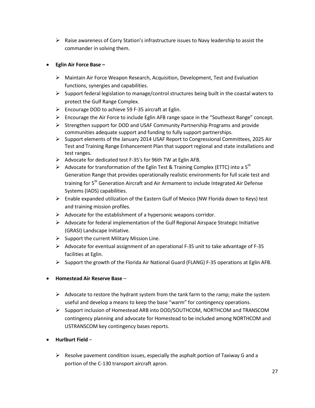$\triangleright$  Raise awareness of Corry Station's infrastructure issues to Navy leadership to assist the commander in solving them.

#### **Eglin Air Force Base –**

- $\triangleright$  Maintain Air Force Weapon Research, Acquisition, Development, Test and Evaluation functions, synergies and capabilities.
- $\triangleright$  Support federal legislation to manage/control structures being built in the coastal waters to protect the Gulf Range Complex.
- Encourage DOD to achieve 59 F-35 aircraft at Eglin.
- $\triangleright$  Encourage the Air Force to include Eglin AFB range space in the "Southeast Range" concept.
- $\triangleright$  Strengthen support for DOD and USAF Community Partnership Programs and provide communities adequate support and funding to fully support partnerships.
- $\triangleright$  Support elements of the January 2014 USAF Report to Congressional Committees, 2025 Air Test and Training Range Enhancement Plan that support regional and state installations and test ranges.
- $\triangleright$  Advocate for dedicated test F-35's for 96th TW at Eglin AFB.
- Advocate for transformation of the Eglin Test & Training Complex (ETTC) into a  $5^{th}$ Generation Range that provides operationally realistic environments for full scale test and training for 5th Generation Aircraft and Air Armament to include Integrated Air Defense Systems (IADS) capabilities.
- $\triangleright$  Enable expanded utilization of the Eastern Gulf of Mexico (NW Florida down to Keys) test and training mission profiles.
- $\triangleright$  Advocate for the establishment of a hypersonic weapons corridor.
- $\triangleright$  Advocate for federal implementation of the Gulf Regional Airspace Strategic Initiative (GRASI) Landscape Initiative.
- $\triangleright$  Support the current Military Mission Line.
- $\triangleright$  Advocate for eventual assignment of an operational F-35 unit to take advantage of F-35 facilities at Eglin.
- $\triangleright$  Support the growth of the Florida Air National Guard (FLANG) F-35 operations at Eglin AFB.
- **Homestead Air Reserve Base** 
	- $\triangleright$  Advocate to restore the hydrant system from the tank farm to the ramp; make the system useful and develop a means to keep the base "warm" for contingency operations.
	- $\triangleright$  Support inclusion of Homestead ARB into DOD/SOUTHCOM, NORTHCOM and TRANSCOM contingency planning and advocate for Homestead to be included among NORTHCOM and USTRANSCOM key contingency bases reports.
- **Hurlburt Field** 
	- $\triangleright$  Resolve pavement condition issues, especially the asphalt portion of Taxiway G and a portion of the C-130 transport aircraft apron.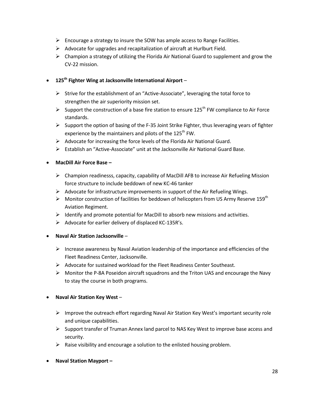- $\triangleright$  Encourage a strategy to insure the SOW has ample access to Range Facilities.
- $\triangleright$  Advocate for upgrades and recapitalization of aircraft at Hurlburt Field.
- $\triangleright$  Champion a strategy of utilizing the Florida Air National Guard to supplement and grow the CV-22 mission.

#### **125th Fighter Wing at Jacksonville International Airport** –

- $\triangleright$  Strive for the establishment of an "Active-Associate", leveraging the total force to strengthen the air superiority mission set.
- Support the construction of a base fire station to ensure 125<sup>th</sup> FW compliance to Air Force standards.
- $\triangleright$  Support the option of basing of the F-35 Joint Strike Fighter, thus leveraging years of fighter experience by the maintainers and pilots of the 125<sup>th</sup> FW.
- $\triangleright$  Advocate for increasing the force levels of the Florida Air National Guard.
- $\triangleright$  Establish an "Active-Associate" unit at the Jacksonville Air National Guard Base.

#### **MacDill Air Force Base –**

- Champion readinesss, capacity, capability of MacDill AFB to increase Air Refueling Mission force structure to include beddown of new KC-46 tanker
- $\triangleright$  Advocate for infrastructure improvements in support of the Air Refueling Wings.
- $\triangleright$  Monitor construction of facilities for beddown of helicopters from US Army Reserve 159<sup>th</sup> Aviation Regiment.
- $\triangleright$  Identify and promote potential for MacDill to absorb new missions and activities.
- $\triangleright$  Advocate for earlier delivery of displaced KC-135R's.

#### **Naval Air Station Jacksonville** –

- $\triangleright$  Increase awareness by Naval Aviation leadership of the importance and efficiencies of the Fleet Readiness Center, Jacksonville.
- $\triangleright$  Advocate for sustained workload for the Fleet Readiness Center Southeast.
- $\triangleright$  Monitor the P-8A Poseidon aircraft squadrons and the Triton UAS and encourage the Navy to stay the course in both programs.

#### **Naval Air Station Key West** –

- $\triangleright$  Improve the outreach effort regarding Naval Air Station Key West's important security role and unique capabilities.
- $\triangleright$  Support transfer of Truman Annex land parcel to NAS Key West to improve base access and security.
- $\triangleright$  Raise visibility and encourage a solution to the enlisted housing problem.
- **Naval Station Mayport –**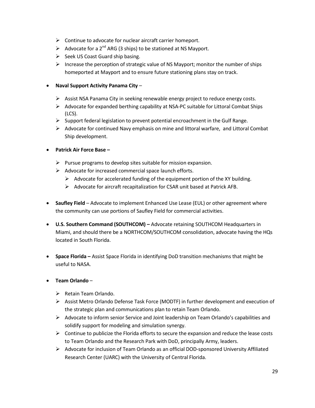- $\triangleright$  Continue to advocate for nuclear aircraft carrier homeport.
- Advocate for a  $2^{nd}$  ARG (3 ships) to be stationed at NS Mayport.
- $\triangleright$  Seek US Coast Guard ship basing.
- $\triangleright$  Increase the perception of strategic value of NS Mayport; monitor the number of ships homeported at Mayport and to ensure future stationing plans stay on track.

#### **Naval Support Activity Panama City** –

- $\triangleright$  Assist NSA Panama City in seeking renewable energy project to reduce energy costs.
- $\triangleright$  Advocate for expanded berthing capability at NSA-PC suitable for Littoral Combat Ships (LCS).
- $\triangleright$  Support federal legislation to prevent potential encroachment in the Gulf Range.
- $\triangleright$  Advocate for continued Navy emphasis on mine and littoral warfare, and Littoral Combat Ship development.

#### **Patrick Air Force Base –**

- $\triangleright$  Pursue programs to develop sites suitable for mission expansion.
- $\triangleright$  Advocate for increased commercial space launch efforts.
	- $\triangleright$  Advocate for accelerated funding of the equipment portion of the XY building.
	- $\triangleright$  Advocate for aircraft recapitalization for CSAR unit based at Patrick AFB.
- **Saufley Field**  Advocate to implement Enhanced Use Lease (EUL) or other agreement where the community can use portions of Saufley Field for commercial activities.
- **U.S. Southern Command (SOUTHCOM) –** Advocate retaining SOUTHCOM Headquarters in Miami, and should there be a NORTHCOM/SOUTHCOM consolidation, advocate having the HQs located in South Florida.
- **Space Florida –** Assist Space Florida in identifying DoD transition mechanisms that might be useful to NASA.

#### **Team Orlando** –

- $\triangleright$  Retain Team Orlando.
- Assist Metro Orlando Defense Task Force (MODTF) in further development and execution of the strategic plan and communications plan to retain Team Orlando.
- $\triangleright$  Advocate to inform senior Service and Joint leadership on Team Orlando's capabilities and solidify support for modeling and simulation synergy.
- $\triangleright$  Continue to publicize the Florida efforts to secure the expansion and reduce the lease costs to Team Orlando and the Research Park with DoD, principally Army, leaders.
- $\triangleright$  Advocate for inclusion of Team Orlando as an official DOD-sponsored University Affiliated Research Center (UARC) with the University of Central Florida.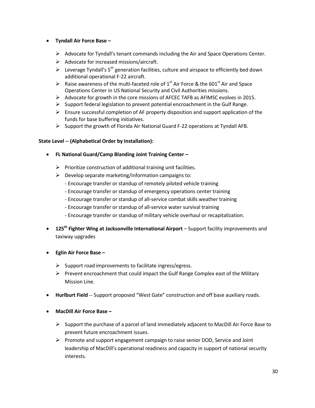- **Tyndall Air Force Base –**
	- $\triangleright$  Advocate for Tyndall's tenant commands including the Air and Space Operations Center.
	- $\triangleright$  Advocate for increased missions/aircraft.
	- Everage Tyndall's  $5<sup>th</sup>$  generation facilities, culture and airspace to efficiently bed down additional operational F-22 aircraft.
	- A Raise awareness of the multi-faceted role of  $1<sup>st</sup>$  Air Force & the 601<sup>st</sup> Air and Space Operations Center in US National Security and Civil Authorities missions.
	- $\triangleright$  Advocate for growth in the core missions of AFCEC TAFB as AFIMSC evolves in 2015.
	- $\triangleright$  Support federal legislation to prevent potential encroachment in the Gulf Range.
	- $\triangleright$  Ensure successful completion of AF property disposition and support application of the funds for base buffering initiatives.
	- $\triangleright$  Support the growth of Florida Air National Guard F-22 operations at Tyndall AFB.

#### **State Level -- (Alphabetical Order by Installation):**

- **FL National Guard/Camp Blanding Joint Training Center –**
	- $\triangleright$  Prioritize construction of additional training unit facilities.
	- $\triangleright$  Develop separate marketing/information campaigns to:
		- Encourage transfer or standup of remotely piloted vehicle training
		- Encourage transfer or standup of emergency operations center training
		- Encourage transfer or standup of all-service combat skills weather training
		- Encourage transfer or standup of all-service water survival training
		- Encourage transfer or standup of military vehicle overhaul or recapitalization.
- **125th Fighter Wing at Jacksonville International Airport**  Support facility improvements and taxiway upgrades
- **Eglin Air Force Base –**
	- $\triangleright$  Support road improvements to facilitate ingress/egress.
	- $\triangleright$  Prevent encroachment that could impact the Gulf Range Complex east of the Military Mission Line.
- **Hurlburt Field** -- Support proposed "West Gate" construction and off base auxiliary roads.
- **MacDill Air Force Base –**
	- $\triangleright$  Support the purchase of a parcel of land immediately adjacent to MacDill Air Force Base to prevent future encroachment issues.
	- $\triangleright$  Promote and support engagement campaign to raise senior DOD, Service and Joint leadership of MacDill's operational readiness and capacity in support of national security interests.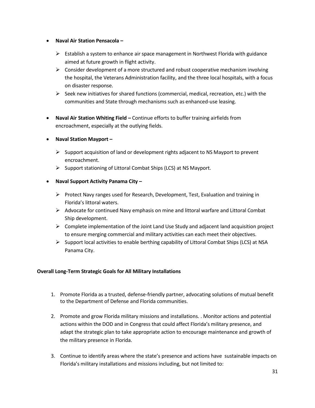- **Naval Air Station Pensacola –**
	- $\triangleright$  Establish a system to enhance air space management in Northwest Florida with guidance aimed at future growth in flight activity.
	- $\triangleright$  Consider development of a more structured and robust cooperative mechanism involving the hospital, the Veterans Administration facility, and the three local hospitals, with a focus on disaster response.
	- $\triangleright$  Seek new initiatives for shared functions (commercial, medical, recreation, etc.) with the communities and State through mechanisms such as enhanced-use leasing.
- **Naval Air Station Whiting Field –** Continue efforts to buffer training airfields from encroachment, especially at the outlying fields.
- **Naval Station Mayport –**
	- $\triangleright$  Support acquisition of land or development rights adjacent to NS Mayport to prevent encroachment.
	- $\triangleright$  Support stationing of Littoral Combat Ships (LCS) at NS Mayport.
- **Naval Support Activity Panama City –**
	- $\triangleright$  Protect Navy ranges used for Research, Development, Test, Evaluation and training in Florida's littoral waters.
	- $\triangleright$  Advocate for continued Navy emphasis on mine and littoral warfare and Littoral Combat Ship development.
	- $\triangleright$  Complete implementation of the Joint Land Use Study and adjacent land acquisition project to ensure merging commercial and military activities can each meet their objectives.
	- $\triangleright$  Support local activities to enable berthing capability of Littoral Combat Ships (LCS) at NSA Panama City.

#### **Overall Long-Term Strategic Goals for All Military Installations**

- 1. Promote Florida as a trusted, defense-friendly partner, advocating solutions of mutual benefit to the Department of Defense and Florida communities.
- 2. Promote and grow Florida military missions and installations. . Monitor actions and potential actions within the DOD and in Congress that could affect Florida's military presence, and adapt the strategic plan to take appropriate action to encourage maintenance and growth of the military presence in Florida.
- 3. Continue to identify areas where the state's presence and actions have sustainable impacts on Florida's military installations and missions including, but not limited to: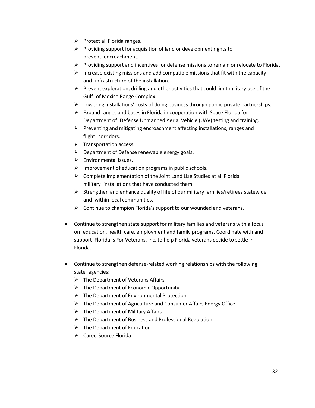- $\triangleright$  Protect all Florida ranges.
- $\triangleright$  Providing support for acquisition of land or development rights to prevent encroachment.
- $\triangleright$  Providing support and incentives for defense missions to remain or relocate to Florida.
- $\triangleright$  Increase existing missions and add compatible missions that fit with the capacity and infrastructure of the installation.
- $\triangleright$  Prevent exploration, drilling and other activities that could limit military use of the Gulf of Mexico Range Complex.
- $\triangleright$  Lowering installations' costs of doing business through public-private partnerships.
- $\triangleright$  Expand ranges and bases in Florida in cooperation with Space Florida for Department of Defense Unmanned Aerial Vehicle (UAV) testing and training.
- $\triangleright$  Preventing and mitigating encroachment affecting installations, ranges and flight corridors.
- $\triangleright$  Transportation access.
- $\triangleright$  Department of Defense renewable energy goals.
- $\triangleright$  Environmental issues.
- $\triangleright$  Improvement of education programs in public schools.
- $\triangleright$  Complete implementation of the Joint Land Use Studies at all Florida military installations that have conducted them.
- $\triangleright$  Strengthen and enhance quality of life of our military families/retirees statewide and within local communities.
- $\triangleright$  Continue to champion Florida's support to our wounded and veterans.
- Continue to strengthen state support for military families and veterans with a focus on education, health care, employment and family programs. Coordinate with and support Florida Is For Veterans, Inc. to help Florida veterans decide to settle in Florida.
- Continue to strengthen defense-related working relationships with the following state agencies:
	- $\triangleright$  The Department of Veterans Affairs
	- $\triangleright$  The Department of Economic Opportunity
	- $\triangleright$  The Department of Environmental Protection
	- $\triangleright$  The Department of Agriculture and Consumer Affairs Energy Office
	- $\triangleright$  The Department of Military Affairs
	- $\triangleright$  The Department of Business and Professional Regulation
	- $\triangleright$  The Department of Education
	- CareerSource Florida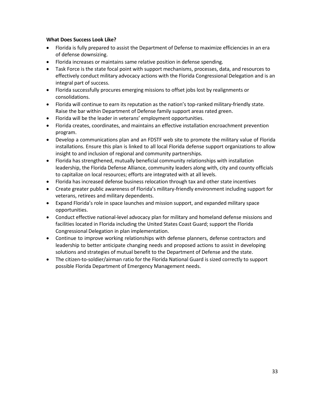#### **What Does Success Look Like?**

- Florida is fully prepared to assist the Department of Defense to maximize efficiencies in an era of defense downsizing.
- Florida increases or maintains same relative position in defense spending.
- Task Force is the state focal point with support mechanisms, processes, data, and resources to effectively conduct military advocacy actions with the Florida Congressional Delegation and is an integral part of success.
- Florida successfully procures emerging missions to offset jobs lost by realignments or consolidations.
- Florida will continue to earn its reputation as the nation's top-ranked military-friendly state. Raise the bar within Department of Defense family support areas rated green.
- Florida will be the leader in veterans' employment opportunities.
- Florida creates, coordinates, and maintains an effective installation encroachment prevention program.
- Develop a communications plan and an FDSTF web site to promote the military value of Florida installations. Ensure this plan is linked to all local Florida defense support organizations to allow insight to and inclusion of regional and community partnerships.
- Florida has strengthened, mutually beneficial community relationships with installation leadership, the Florida Defense Alliance, community leaders along with, city and county officials to capitalize on local resources; efforts are integrated with at all levels.
- Florida has increased defense business relocation through tax and other state incentives
- Create greater public awareness of Florida's military-friendly environment including support for veterans, retirees and military dependents.
- Expand Florida's role in space launches and mission support, and expanded military space opportunities.
- Conduct effective national-level advocacy plan for military and homeland defense missions and facilities located in Florida including the United States Coast Guard; support the Florida Congressional Delegation in plan implementation.
- Continue to improve working relationships with defense planners, defense contractors and leadership to better anticipate changing needs and proposed actions to assist in developing solutions and strategies of mutual benefit to the Department of Defense and the state.
- The citizen-to-soldier/airman ratio for the Florida National Guard is sized correctly to support possible Florida Department of Emergency Management needs.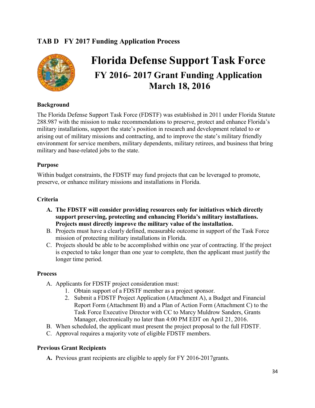#### **TAB D FY 2017 Funding Application Process**



## **Florida Defense Support Task Force FY 2016- 2017 Grant Funding Application March 18, 2016**

#### **Background**

The Florida Defense Support Task Force (FDSTF) was established in 2011 under Florida Statute 288.987 with the mission to make recommendations to preserve, protect and enhance Florida's military installations, support the state's position in research and development related to or arising out of military missions and contracting, and to improve the state's military friendly environment for service members, military dependents, military retirees, and business that bring military and base-related jobs to the state.

#### **Purpose**

Within budget constraints, the FDSTF may fund projects that can be leveraged to promote, preserve, or enhance military missions and installations in Florida.

#### **Criteria**

- **A. The FDSTF will consider providing resources only for initiatives which directly support preserving, protecting and enhancing Florida's military installations. Projects must directly improve the military value of the installation.**
- B. Projects must have a clearly defined, measurable outcome in support of the Task Force mission of protecting military installations in Florida.
- C. Projects should be able to be accomplished within one year of contracting. If the project is expected to take longer than one year to complete, then the applicant must justify the longer time period.

#### **Process**

- A. Applicants for FDSTF project consideration must:
	- 1. Obtain support of a FDSTF member as a project sponsor.
	- 2. Submit a FDSTF Project Application (Attachment A), a Budget and Financial Report Form (Attachment B) and a Plan of Action Form (Attachment C) to the Task Force Executive Director with CC to Marcy Muldrow Sanders, Grants Manager, electronically no later than 4:00 PM EDT on April 21, 2016.
- B. When scheduled, the applicant must present the project proposal to the full FDSTF.
- C. Approval requires a majority vote of eligible FDSTF members.

#### **Previous Grant Recipients**

**A.** Previous grant recipients are eligible to apply for FY 2016-2017grants.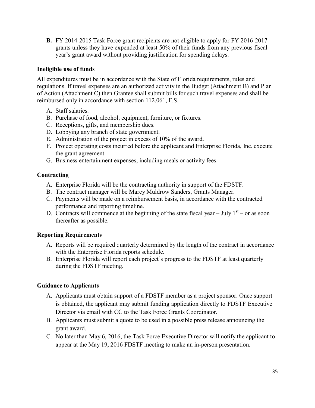**B.** FY 2014-2015 Task Force grant recipients are not eligible to apply for FY 2016-2017 grants unless they have expended at least 50% of their funds from any previous fiscal year's grant award without providing justification for spending delays.

#### **Ineligible use of funds**

All expenditures must be in accordance with the State of Florida requirements, rules and regulations. If travel expenses are an authorized activity in the Budget (Attachment B) and Plan of Action (Attachment C) then Grantee shall submit bills for such travel expenses and shall be reimbursed only in accordance with section 112.061, F.S.

- A. Staff salaries.
- B. Purchase of food, alcohol, equipment, furniture, or fixtures.
- C. Receptions, gifts, and membership dues.
- D. Lobbying any branch of state government.
- E. Administration of the project in excess of 10% of the award.
- F. Project operating costs incurred before the applicant and Enterprise Florida, Inc. execute the grant agreement.
- G. Business entertainment expenses, including meals or activity fees.

#### **Contracting**

- A. Enterprise Florida will be the contracting authority in support of the FDSTF.
- B. The contract manager will be Marcy Muldrow Sanders, Grants Manager.
- C. Payments will be made on a reimbursement basis, in accordance with the contracted performance and reporting timeline.
- D. Contracts will commence at the beginning of the state fiscal year  $-$  July  $1<sup>st</sup>$  or as soon thereafter as possible.

#### **Reporting Requirements**

- A. Reports will be required quarterly determined by the length of the contract in accordance with the Enterprise Florida reports schedule.
- B. Enterprise Florida will report each project's progress to the FDSTF at least quarterly during the FDSTF meeting.

#### **Guidance to Applicants**

- A. Applicants must obtain support of a FDSTF member as a project sponsor. Once support is obtained, the applicant may submit funding application directly to FDSTF Executive Director via email with CC to the Task Force Grants Coordinator.
- B. Applicants must submit a quote to be used in a possible press release announcing the grant award.
- C. No later than May 6, 2016, the Task Force Executive Director will notify the applicant to appear at the May 19, 2016 FDSTF meeting to make an in-person presentation.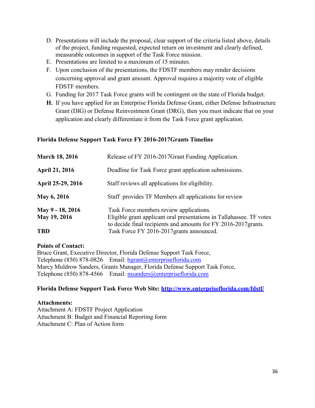- D. Presentations will include the proposal, clear support of the criteria listed above, details of the project, funding requested, expected return on investment and clearly defined, measurable outcomes in support of the Task Force mission.
- E. Presentations are limited to a maximum of 15 minutes.
- F. Upon conclusion of the presentations, the FDSTF members may render decisions concerning approval and grant amount. Approval requires a majority vote of eligible FDSTF members.
- G. Funding for 2017 Task Force grants will be contingent on the state of Florida budget.
- **H.** If you have applied for an Enterprise Florida Defense Grant, either Defense Infrastructure Grant (DIG) or Defense Reinvestment Grant (DRG), then you must indicate that on your application and clearly differentiate it from the Task Force grant application.

#### **Florida Defense Support Task Force FY 2016-2017Grants Timeline**

| <b>March 18, 2016</b>            | Release of FY 2016-2017 Grant Funding Application.                                                                                                                                 |  |  |
|----------------------------------|------------------------------------------------------------------------------------------------------------------------------------------------------------------------------------|--|--|
| <b>April 21, 2016</b>            | Deadline for Task Force grant application submissions.                                                                                                                             |  |  |
| April 25-29, 2016                | Staff reviews all applications for eligibility.                                                                                                                                    |  |  |
| May 6, 2016                      | Staff provides TF Members all applications for review                                                                                                                              |  |  |
| May 9 - 18, 2016<br>May 19, 2016 | Task Force members review applications.<br>Eligible grant applicant oral presentations in Tallahassee. TF votes<br>to decide final recipients and amounts for FY 2016-2017 grants. |  |  |
| <b>TBD</b>                       | Task Force FY 2016-2017 grants announced.                                                                                                                                          |  |  |

#### **Points of Contact:**

Bruce Grant, Executive Director, Florida Defense Support Task Force, Telephone (850) 878-0826 Email: [bgrant@enterpriseflorida.com](mailto:bgrant@enterpriseflorida.com) Marcy Muldrow Sanders, Grants Manager, Florida Defense Support Task Force, Telephone (850) 878-4566 Email: [msanders@enterpriseflorida.com](mailto:msanders@enterpriseflorida.com)

#### **Florida Defense Support Task Force Web Site:<http://www.enterpriseflorida.com/fdstf/>**

#### **Attachments:**

Attachment A: FDSTF Project Application Attachment B: Budget and Financial Reporting form Attachment C: Plan of Action form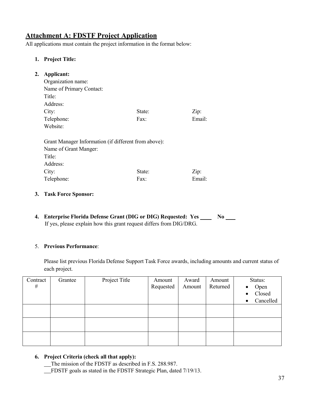#### **Attachment A: FDSTF Project Application**

All applications must contain the project information in the format below:

#### **1. Project Title:**

| 2. | <b>Applicant:</b>                                    |        |        |  |  |  |
|----|------------------------------------------------------|--------|--------|--|--|--|
|    | Organization name:                                   |        |        |  |  |  |
|    | Name of Primary Contact:                             |        |        |  |  |  |
|    | Title:                                               |        |        |  |  |  |
|    | Address:                                             |        |        |  |  |  |
|    | City:                                                | State: | Zip:   |  |  |  |
|    | Telephone:                                           | Fax:   | Email: |  |  |  |
|    | Website:                                             |        |        |  |  |  |
|    | Grant Manager Information (if different from above): |        |        |  |  |  |
|    | Name of Grant Manger:                                |        |        |  |  |  |
|    | Title:                                               |        |        |  |  |  |
|    | Address:                                             |        |        |  |  |  |
|    | City:                                                | State: | Zip:   |  |  |  |
|    | Telephone:                                           | Fax:   | Email: |  |  |  |

- **3. Task Force Sponsor:**
- **4. Enterprise Florida Defense Grant (DIG or DIG) Requested: Yes No**  If yes, please explain how this grant request differs from DIG/DRG.

#### 5. **Previous Performance**:

Please list previous Florida Defense Support Task Force awards, including amounts and current status of each project.

| Contract | Grantee | Project Title | Amount    | Award  | Amount   | Status:                |
|----------|---------|---------------|-----------|--------|----------|------------------------|
| $\#$     |         |               | Requested | Amount | Returned | Open<br>$\bullet$      |
|          |         |               |           |        |          | Closed<br>$\bullet$    |
|          |         |               |           |        |          | Cancelled<br>$\bullet$ |
|          |         |               |           |        |          |                        |
|          |         |               |           |        |          |                        |
|          |         |               |           |        |          |                        |
|          |         |               |           |        |          |                        |
|          |         |               |           |        |          |                        |
|          |         |               |           |        |          |                        |

#### **6. Project Criteria (check all that apply):**

The mission of the FDSTF as described in F.S. 288.987.

FDSTF goals as stated in the FDSTF Strategic Plan, dated 7/19/13.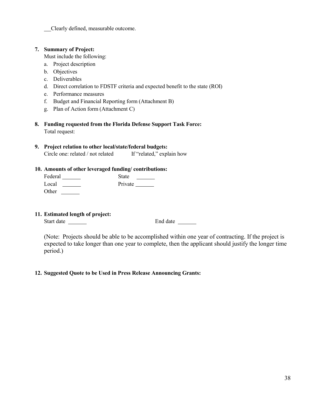Clearly defined, measurable outcome.

#### **7. Summary of Project:**

Must include the following:

- a. Project description
- b. Objectives
- c. Deliverables
- d. Direct correlation to FDSTF criteria and expected benefit to the state (ROI)
- e. Performance measures
- f. Budget and Financial Reporting form (Attachment B)
- g. Plan of Action form (Attachment C)
- **8. Funding requested from the Florida Defense Support Task Force:** Total request:

#### **9. Project relation to other local/state/federal budgets:**

Circle one: related / not related If "related," explain how

#### **10. Amounts of other leveraged funding/ contributions:**

| Federal | <b>State</b> |
|---------|--------------|
| Local   | Private      |
| Other   |              |

**11. Estimated length of project:**

Start date <u>examenes</u> End date End date

(Note: Projects should be able to be accomplished within one year of contracting. If the project is expected to take longer than one year to complete, then the applicant should justify the longer time period.)

#### **12. Suggested Quote to be Used in Press Release Announcing Grants:**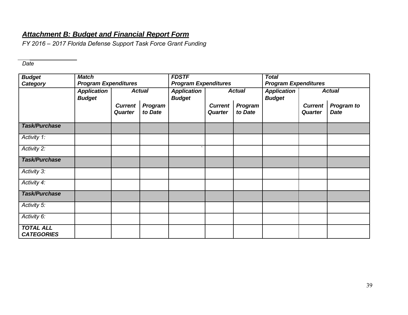#### *Attachment B: Budget and Financial Report Form*

*FY 2016 – 2017 Florida Defense Support Task Force Grant Funding*

*Date*

| <b>Budget</b><br>Category             | <b>Match</b><br><b>Program Expenditures</b> |                                  | <b>FDSTF</b><br><b>Program Expenditures</b> |                                     | <b>Total</b><br><b>Program Expenditures</b> |                    |                                     |                                  |                                  |
|---------------------------------------|---------------------------------------------|----------------------------------|---------------------------------------------|-------------------------------------|---------------------------------------------|--------------------|-------------------------------------|----------------------------------|----------------------------------|
|                                       | <b>Application</b><br><b>Budget</b>         |                                  | <b>Actual</b>                               | <b>Application</b><br><b>Budget</b> |                                             | <b>Actual</b>      | <b>Application</b><br><b>Budget</b> |                                  | <b>Actual</b>                    |
|                                       |                                             | <b>Current</b><br><b>Quarter</b> | Program<br>to Date                          |                                     | <b>Current</b><br><b>Quarter</b>            | Program<br>to Date |                                     | <b>Current</b><br><b>Quarter</b> | <b>Program to</b><br><b>Date</b> |
| <b>Task/Purchase</b>                  |                                             |                                  |                                             |                                     |                                             |                    |                                     |                                  |                                  |
| Activity 1:                           |                                             |                                  |                                             |                                     |                                             |                    |                                     |                                  |                                  |
| Activity 2:                           |                                             |                                  |                                             |                                     |                                             |                    |                                     |                                  |                                  |
| <b>Task/Purchase</b>                  |                                             |                                  |                                             |                                     |                                             |                    |                                     |                                  |                                  |
| Activity 3:                           |                                             |                                  |                                             |                                     |                                             |                    |                                     |                                  |                                  |
| Activity 4:                           |                                             |                                  |                                             |                                     |                                             |                    |                                     |                                  |                                  |
| <b>Task/Purchase</b>                  |                                             |                                  |                                             |                                     |                                             |                    |                                     |                                  |                                  |
| Activity 5:                           |                                             |                                  |                                             |                                     |                                             |                    |                                     |                                  |                                  |
| Activity 6:                           |                                             |                                  |                                             |                                     |                                             |                    |                                     |                                  |                                  |
| <b>TOTAL ALL</b><br><b>CATEGORIES</b> |                                             |                                  |                                             |                                     |                                             |                    |                                     |                                  |                                  |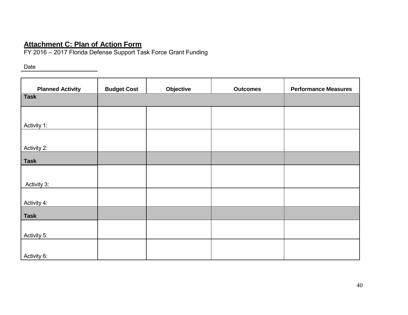#### **Attachment C: Plan of Action Form**

FY 2016 – 2017 Florida Defense Support Task Force Grant Funding

Date

| <b>Planned Activity</b> | <b>Budget Cost</b> | Objective | <b>Outcomes</b> | <b>Performance Measures</b> |
|-------------------------|--------------------|-----------|-----------------|-----------------------------|
| <b>Task</b>             |                    |           |                 |                             |
|                         |                    |           |                 |                             |
| Activity 1:             |                    |           |                 |                             |
|                         |                    |           |                 |                             |
| Activity 2:             |                    |           |                 |                             |
| <b>Task</b>             |                    |           |                 |                             |
|                         |                    |           |                 |                             |
| Activity 3:             |                    |           |                 |                             |
| Activity 4:             |                    |           |                 |                             |
| <b>Task</b>             |                    |           |                 |                             |
|                         |                    |           |                 |                             |
| Activity 5:             |                    |           |                 |                             |
| Activity 6:             |                    |           |                 |                             |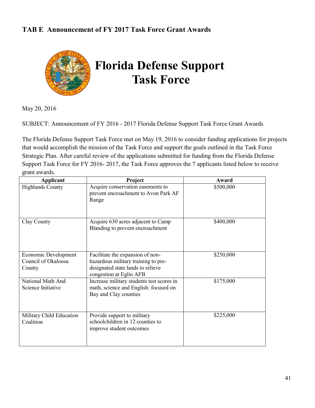#### **TAB E Announcement of FY 2017 Task Force Grant Awards**



May 20, 2016

SUBJECT: Announcement of FY 2016 - 2017 Florida Defense Support Task Force Grant Awards

The Florida Defense Support Task Force met on May 19, 2016 to consider funding applications for projects that would accomplish the mission of the Task Force and support the goals outlined in the Task Force Strategic Plan. After careful review of the applications submitted for funding from the Florida Defense Support Task Force for FY 2016- 2017, the Task Force approves the 7 applicants listed below to receive grant awards.

| Applicant                                             | Project                                                                                                                                 | Award     |
|-------------------------------------------------------|-----------------------------------------------------------------------------------------------------------------------------------------|-----------|
| <b>Highlands County</b>                               | Acquire conservation easements to<br>prevent encroachment to Avon Park AF<br>Range                                                      | \$500,000 |
| Clay County                                           | Acquire 630 acres adjacent to Camp<br>Blanding to prevent encroachment                                                                  | \$400,000 |
| Economic Development<br>Council of Okaloosa<br>County | Facilitate the expansion of non-<br>hazardous military training to pre-<br>designated state lands to relieve<br>congestion at Eglin AFB | \$250,000 |
| National Math And<br>Science Initiative               | Increase military students test scores in<br>math, science and English: focused on<br>Bay and Clay counties                             | \$175,000 |
| Military Child Education<br>Coalition                 | Provide support to military<br>schoolchildren in 12 counties to<br>improve student outcomes                                             | \$225,000 |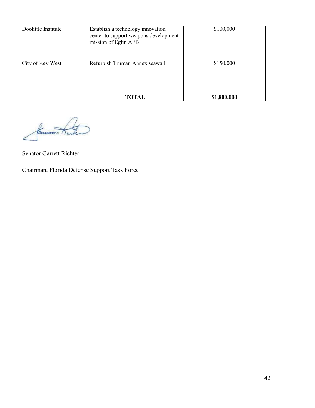| Doolittle Institute | Establish a technology innovation<br>center to support weapons development<br>mission of Eglin AFB |             |
|---------------------|----------------------------------------------------------------------------------------------------|-------------|
| City of Key West    | Refurbish Truman Annex seawall                                                                     | \$150,000   |
|                     | TOTAL                                                                                              | \$1,800,000 |

Common ti

Senator Garrett Richter

Chairman, Florida Defense Support Task Force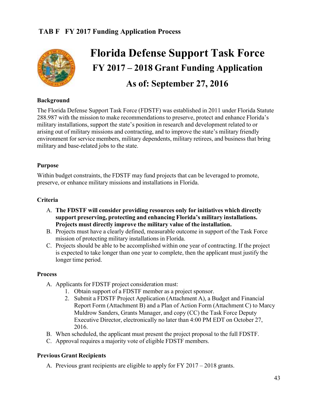#### **TAB F FY 2017 Funding Application Process**



## **Florida Defense Support Task Force FY 2017 – 2018 Grant Funding Application As of: September 27, 2016**

#### **Background**

The Florida Defense Support Task Force (FDSTF) was established in 2011 under Florida Statute 288.987 with the mission to make recommendations to preserve, protect and enhance Florida's military installations, support the state's position in research and development related to or arising out of military missions and contracting, and to improve the state's military friendly environment for service members, military dependents, military retirees, and business that bring military and base-related jobs to the state.

#### **Purpose**

Within budget constraints, the FDSTF may fund projects that can be leveraged to promote, preserve, or enhance military missions and installations in Florida.

#### **Criteria**

- A. **The FDSTF will consider providing resources only for initiatives which directly support preserving, protecting and enhancing Florida's military installations. Projects must directly improve the military value of the installation.**
- B. Projects must have a clearly defined, measurable outcome in support of the Task Force mission of protecting military installations in Florida.
- C. Projects should be able to be accomplished within one year of contracting. If the project is expected to take longer than one year to complete, then the applicant must justify the longer time period.

#### **Process**

- A. Applicants for FDSTF project consideration must:
	- 1. Obtain support of a FDSTF member as a project sponsor.
	- 2. Submit a FDSTF Project Application (Attachment A), a Budget and Financial Report Form (Attachment B) and a Plan of Action Form (Attachment C) to Marcy Muldrow Sanders, Grants Manager, and copy (CC) the Task Force Deputy Executive Director, electronically no later than 4:00 PM EDT on October 27, 2016.
- B. When scheduled, the applicant must present the project proposal to the full FDSTF.
- C. Approval requires a majority vote of eligible FDSTF members.

#### **Previous Grant Recipients**

A. Previous grant recipients are eligible to apply for FY 2017 – 2018 grants.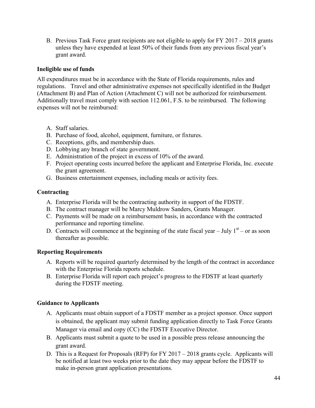B. Previous Task Force grant recipients are not eligible to apply for FY 2017 – 2018 grants unless they have expended at least 50% of their funds from any previous fiscal year's grant award.

#### **Ineligible use of funds**

All expenditures must be in accordance with the State of Florida requirements, rules and regulations. Travel and other administrative expenses not specifically identified in the Budget (Attachment B) and Plan of Action (Attachment C) will not be authorized for reimbursement. Additionally travel must comply with section 112.061, F.S. to be reimbursed. The following expenses will not be reimbursed:

- A. Staff salaries.
- B. Purchase of food, alcohol, equipment, furniture, or fixtures.
- C. Receptions, gifts, and membership dues.
- D. Lobbying any branch of state government.
- E. Administration of the project in excess of 10% of the award.
- F. Project operating costs incurred before the applicant and Enterprise Florida, Inc. execute the grant agreement.
- G. Business entertainment expenses, including meals or activity fees.

#### **Contracting**

- A. Enterprise Florida will be the contracting authority in support of the FDSTF.
- B. The contract manager will be Marcy Muldrow Sanders, Grants Manager.
- C. Payments will be made on a reimbursement basis, in accordance with the contracted performance and reporting timeline.
- D. Contracts will commence at the beginning of the state fiscal year  $-$  July  $1<sup>st</sup>$  or as soon thereafter as possible.

#### **Reporting Requirements**

- A. Reports will be required quarterly determined by the length of the contract in accordance with the Enterprise Florida reports schedule.
- B. Enterprise Florida will report each project's progress to the FDSTF at least quarterly during the FDSTF meeting.

#### **Guidance to Applicants**

- A. Applicants must obtain support of a FDSTF member as a project sponsor. Once support is obtained, the applicant may submit funding application directly to Task Force Grants Manager via email and copy (CC) the FDSTF Executive Director.
- B. Applicants must submit a quote to be used in a possible press release announcing the grant award.
- D. This is a Request for Proposals (RFP) for FY 2017 2018 grants cycle. Applicants will be notified at least two weeks prior to the date they may appear before the FDSTF to make in-person grant application presentations.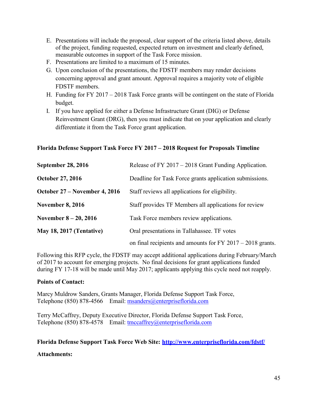- E. Presentations will include the proposal, clear support of the criteria listed above, details of the project, funding requested, expected return on investment and clearly defined, measurable outcomes in support of the Task Force mission.
- F. Presentations are limited to a maximum of 15 minutes.
- G. Upon conclusion of the presentations, the FDSTF members may render decisions concerning approval and grant amount. Approval requires a majority vote of eligible FDSTF members.
- H. Funding for FY 2017 2018 Task Force grants will be contingent on the state of Florida budget.
- I. If you have applied for either a Defense Infrastructure Grant (DIG) or Defense Reinvestment Grant (DRG), then you must indicate that on your application and clearly differentiate it from the Task Force grant application.

#### **Florida Defense Support Task Force FY 2017 – 2018 Request for Proposals Timeline**

| <b>September 28, 2016</b>       | Release of FY 2017 – 2018 Grant Funding Application.         |
|---------------------------------|--------------------------------------------------------------|
| <b>October 27, 2016</b>         | Deadline for Task Force grants application submissions.      |
| October 27 – November 4, 2016   | Staff reviews all applications for eligibility.              |
| <b>November 8, 2016</b>         | Staff provides TF Members all applications for review        |
| November $8 - 20$ , 2016        | Task Force members review applications.                      |
| <b>May 18, 2017 (Tentative)</b> | Oral presentations in Tallahassee. TF votes                  |
|                                 | on final recipients and amounts for $FY$ 2017 – 2018 grants. |

Following this RFP cycle, the FDSTF may accept additional applications during February/March of 2017 to account for emerging projects. No final decisions for grant applications funded during FY 17-18 will be made until May 2017; applicants applying this cycle need not reapply.

#### **Points of Contact:**

Marcy Muldrow Sanders, Grants Manager, Florida Defense Support Task Force, Telephone (850) 878-4566 Email: [msanders@enterpriseflorida.com](mailto:msanders@enterpriseflorida.com)

Terry McCaffrey, Deputy Executive Director, Florida Defense Support Task Force, Telephone (850) 878-4578 Email: [tmccaffrey@enterpriseflorida.com](mailto:tmccaffrey@enterpriseflorida.com)

#### **Florida Defense Support Task Force Web Site:<http://www.enterpriseflorida.com/fdstf/>**

#### **Attachments:**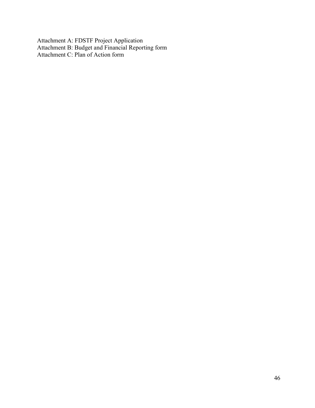Attachment A: FDSTF Project Application Attachment B: Budget and Financial Reporting form Attachment C: Plan of Action form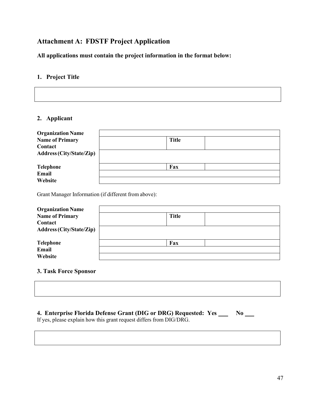#### **Attachment A: FDSTF Project Application**

**All applications must contain the project information in the format below:**

#### **1. Project Title**

#### **2. Applicant**

| <b>Organization Name</b><br><b>Name of Primary</b><br>Contact | <b>Title</b> |
|---------------------------------------------------------------|--------------|
| <b>Address (City/State/Zip)</b>                               |              |
| Telephone<br>Email<br>Website                                 | Fax          |

Grant Manager Information (if different from above):

| <b>Organization Name</b>        |              |  |
|---------------------------------|--------------|--|
| <b>Name of Primary</b>          | <b>Title</b> |  |
| Contact                         |              |  |
| <b>Address (City/State/Zip)</b> |              |  |
| <b>Telephone</b>                | Fax          |  |
| <b>Email</b>                    |              |  |
| Website                         |              |  |

#### **3. Task Force Sponsor**

#### **4. Enterprise Florida Defense Grant (DIG or DRG) Requested: Yes No**

If yes, please explain how this grant request differs from DIG/DRG.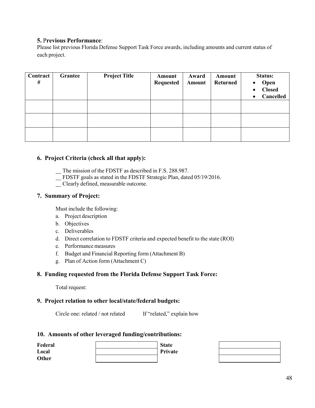#### **5.** P**revious Performance**:

Please list previous Florida Defense Support Task Force awards, including amounts and current status of each project.

| Contract<br># | Grantee | <b>Project Title</b> | Amount<br><b>Requested</b> | Award<br>Amount | Amount<br><b>Returned</b> | Status:<br>Open<br>$\bullet$<br><b>Closed</b><br>$\bullet$<br>Cancelled<br>$\bullet$ |
|---------------|---------|----------------------|----------------------------|-----------------|---------------------------|--------------------------------------------------------------------------------------|
|               |         |                      |                            |                 |                           |                                                                                      |
|               |         |                      |                            |                 |                           |                                                                                      |
|               |         |                      |                            |                 |                           |                                                                                      |

#### **6. Project Criteria (check all that apply):**

The mission of the FDSTF as described in F.S. 288.987.

- FDSTF goals as stated in the FDSTF Strategic Plan, dated 05/19/2016.
- Clearly defined, measurable outcome.

#### **7. Summary of Project:**

Must include the following:

- a. Project description
- b. Objectives
- c. Deliverables
- d. Direct correlation to FDSTF criteria and expected benefit to the state (ROI)
- e. Performance measures
- f. Budget and Financial Reporting form (Attachment B)
- g. Plan of Action form (Attachment C)

#### **8. Funding requested from the Florida Defense Support Task Force:**

Total request:

#### **9. Project relation to other local/state/federal budgets:**

Circle one: related / not related If "related," explain how

#### **10. Amounts of other leveraged funding/contributions:**

| Federal | <b>State</b> |
|---------|--------------|
| Local   | Private      |
| Other   |              |

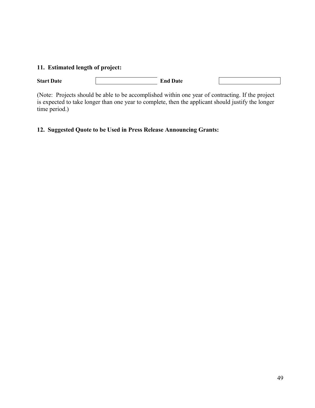#### **11. Estimated length of project:**

**Start Date** End Date

(Note: Projects should be able to be accomplished within one year of contracting. If the project is expected to take longer than one year to complete, then the applicant should justify the longer time period.)

#### **12. Suggested Quote to be Used in Press Release Announcing Grants:**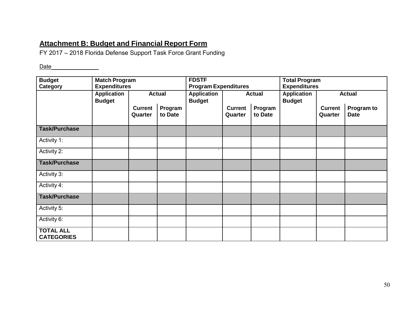#### **Attachment B: Budget and Financial Report Form**

FY 2017 – 2018 Florida Defense Support Task Force Grant Funding

Date

| <b>Budget</b><br><b>Match Program</b> |                     |                | <b>FDSTF</b>                | <b>Total Program</b> |                     |         |                    |                |               |
|---------------------------------------|---------------------|----------------|-----------------------------|----------------------|---------------------|---------|--------------------|----------------|---------------|
| Category                              | <b>Expenditures</b> |                | <b>Program Expenditures</b> |                      | <b>Expenditures</b> |         |                    |                |               |
|                                       | <b>Application</b>  |                | <b>Actual</b>               | <b>Application</b>   | <b>Actual</b>       |         | <b>Application</b> |                | <b>Actual</b> |
|                                       | <b>Budget</b>       |                |                             | <b>Budget</b>        |                     |         | <b>Budget</b>      |                |               |
|                                       |                     | <b>Current</b> | Program                     |                      | <b>Current</b>      | Program |                    | <b>Current</b> | Program to    |
|                                       |                     | Quarter        | to Date                     |                      | Quarter             | to Date |                    | Quarter        | <b>Date</b>   |
| <b>Task/Purchase</b>                  |                     |                |                             |                      |                     |         |                    |                |               |
| Activity 1:                           |                     |                |                             |                      |                     |         |                    |                |               |
| Activity 2:                           |                     |                |                             |                      |                     |         |                    |                |               |
| <b>Task/Purchase</b>                  |                     |                |                             |                      |                     |         |                    |                |               |
| Activity 3:                           |                     |                |                             |                      |                     |         |                    |                |               |
| Activity 4:                           |                     |                |                             |                      |                     |         |                    |                |               |
| <b>Task/Purchase</b>                  |                     |                |                             |                      |                     |         |                    |                |               |
| Activity 5:                           |                     |                |                             |                      |                     |         |                    |                |               |
| Activity 6:                           |                     |                |                             |                      |                     |         |                    |                |               |
| <b>TOTAL ALL</b><br><b>CATEGORIES</b> |                     |                |                             |                      |                     |         |                    |                |               |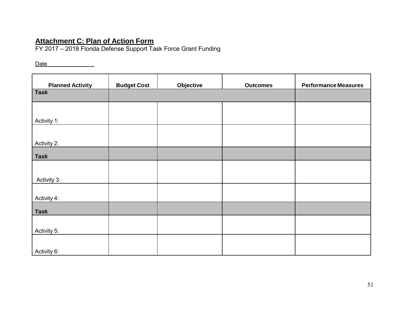#### **Attachment C: Plan of Action Form**

FY 2017 – 2018 Florida Defense Support Task Force Grant Funding

Date

| <b>Planned Activity</b> | <b>Budget Cost</b> | Objective | <b>Outcomes</b> | <b>Performance Measures</b> |
|-------------------------|--------------------|-----------|-----------------|-----------------------------|
| <b>Task</b>             |                    |           |                 |                             |
|                         |                    |           |                 |                             |
| Activity 1:             |                    |           |                 |                             |
|                         |                    |           |                 |                             |
| Activity 2:             |                    |           |                 |                             |
| <b>Task</b>             |                    |           |                 |                             |
|                         |                    |           |                 |                             |
| Activity 3:             |                    |           |                 |                             |
| Activity 4:             |                    |           |                 |                             |
| <b>Task</b>             |                    |           |                 |                             |
|                         |                    |           |                 |                             |
| Activity 5:             |                    |           |                 |                             |
| Activity 6:             |                    |           |                 |                             |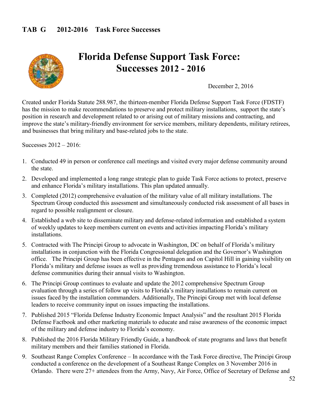

## **Florida Defense Support Task Force: Successes 2012 - 2016**

December 2, 2016

Created under Florida Statute 288.987, the thirteen-member Florida Defense Support Task Force (FDSTF) has the mission to make recommendations to preserve and protect military installations, support the state's position in research and development related to or arising out of military missions and contracting, and improve the state's military-friendly environment for service members, military dependents, military retirees, and businesses that bring military and base-related jobs to the state.

Successes 2012 – 2016:

- 1. Conducted 49 in person or conference call meetings and visited every major defense community around the state.
- 2. Developed and implemented a long range strategic plan to guide Task Force actions to protect, preserve and enhance Florida's military installations. This plan updated annually.
- 3. Completed (2012) comprehensive evaluation of the military value of all military installations. The Spectrum Group conducted this assessment and simultaneously conducted risk assessment of all bases in regard to possible realignment or closure.
- 4. Established a web site to disseminate military and defense-related information and established a system of weekly updates to keep members current on events and activities impacting Florida's military installations.
- 5. Contracted with The Principi Group to advocate in Washington, DC on behalf of Florida's military installations in conjunction with the Florida Congressional delegation and the Governor's Washington office. The Principi Group has been effective in the Pentagon and on Capitol Hill in gaining visibility on Florida's military and defense issues as well as providing tremendous assistance to Florida's local defense communities during their annual visits to Washington.
- 6. The Principi Group continues to evaluate and update the 2012 comprehensive Spectrum Group evaluation through a series of follow up visits to Florida's military installations to remain current on issues faced by the installation commanders. Additionally, The Principi Group met with local defense leaders to receive community input on issues impacting the installations.
- 7. Published 2015 "Florida Defense Industry Economic Impact Analysis" and the resultant 2015 Florida Defense Factbook and other marketing materials to educate and raise awareness of the economic impact of the military and defense industry to Florida's economy.
- 8. Published the 2016 Florida Military Friendly Guide, a handbook of state programs and laws that benefit military members and their families stationed in Florida.
- 9. Southeast Range Complex Conference In accordance with the Task Force directive, The Principi Group conducted a conference on the development of a Southeast Range Complex on 3 November 2016 in Orlando. There were 27+ attendees from the Army, Navy, Air Force, Office of Secretary of Defense and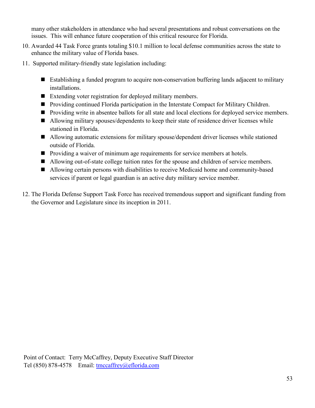many other stakeholders in attendance who had several presentations and robust conversations on the issues. This will enhance future cooperation of this critical resource for Florida.

- 10. Awarded 44 Task Force grants totaling \$10.1 million to local defense communities across the state to enhance the military value of Florida bases.
- 11. Supported military-friendly state legislation including:
	- Establishing a funded program to acquire non-conservation buffering lands adjacent to military installations.
	- Extending voter registration for deployed military members.
	- Providing continued Florida participation in the Interstate Compact for Military Children.
	- **Providing write in absentee ballots for all state and local elections for deployed service members.**
	- Allowing military spouses/dependents to keep their state of residence driver licenses while stationed in Florida.
	- Allowing automatic extensions for military spouse/dependent driver licenses while stationed outside of Florida.
	- **Providing a waiver of minimum age requirements for service members at hotels.**
	- Allowing out-of-state college tuition rates for the spouse and children of service members.
	- Allowing certain persons with disabilities to receive Medicaid home and community-based services if parent or legal guardian is an active duty military service member.
- 12. The Florida Defense Support Task Force has received tremendous support and significant funding from the Governor and Legislature since its inception in 2011.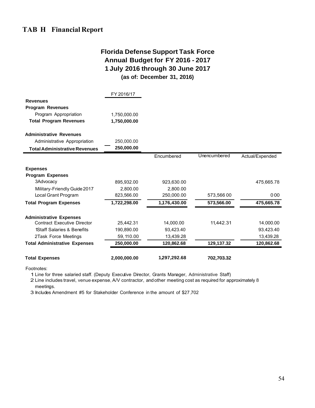#### **Florida Defense Support Task Force Annual Budget for FY 2016 - 2017 1 July 2016 through 30 June 2017 (as of: December 31, 2016)**

|                                      | FY 2016/17   |              |              |                 |
|--------------------------------------|--------------|--------------|--------------|-----------------|
| <b>Revenues</b>                      |              |              |              |                 |
| <b>Program Revenues</b>              |              |              |              |                 |
| Program Appropriation                | 1.750.000.00 |              |              |                 |
| <b>Total Program Revenues</b>        | 1,750,000.00 |              |              |                 |
| <b>Administrative Revenues</b>       |              |              |              |                 |
| Administrative Appropriation         | 250,000.00   |              |              |                 |
| <b>Total Administrative Revenues</b> | 250,000.00   |              |              |                 |
|                                      |              | Encumbered   | Unencumbered | Actual/Expended |
| <b>Expenses</b>                      |              |              |              |                 |
| <b>Program Expenses</b>              |              |              |              |                 |
| 3Advocacy                            | 895,932.00   | 923,630.00   |              | 475,665.78      |
| Military-Friendly Guide 2017         | 2,800.00     | 2,800.00     |              |                 |
| Local Grant Program                  | 823,566.00   | 250,000.00   | 573,56600    | 000             |
| <b>Total Program Expenses</b>        | 1,722,298.00 | 1,176,430.00 | 573,566.00   | 475,665.78      |
| <b>Administrative Expenses</b>       |              |              |              |                 |
| <b>Contract Executive Director</b>   | 25,442.31    | 14,000.00    | 11.442.31    | 14,000.00       |
| 1Staff Salaries & Benefits           | 190.890.00   | 93,423.40    |              | 93,423.40       |
| 2Task Force Meetings                 | 59, 110.00   | 13,439.28    |              | 13,439.28       |
| <b>Total Administrative Expenses</b> | 250,000.00   | 120,862.68   | 129,137.32   | 120,862.68      |
| <b>Total Expenses</b>                | 2,000,000.00 | 1,297,292.68 | 702,703.32   |                 |

Footnotes:

1 Line for three salaried staff. (Deputy Executive Director, Grants Manager, Administrative Staff)

2 Line includes travel, venue expense, A/V contractor, and other meeting cost as required for approximately 8 meetings.

3 Includes Amendment #5 for Stakeholder Conference in the amount of \$27 ,702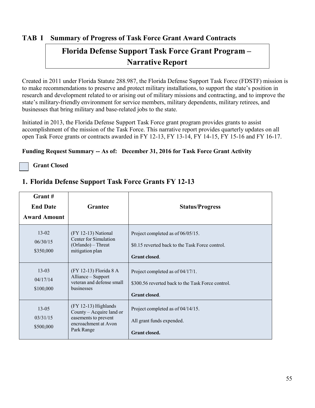#### **TAB I Summary of Progress of Task Force Grant Award Contracts**

## **Florida Defense Support Task Force Grant Program – Narrative Report**

Created in 2011 under Florida Statute 288.987, the Florida Defense Support Task Force (FDSTF) mission is to make recommendations to preserve and protect military installations, to support the state's position in research and development related to or arising out of military missions and contracting, and to improve the state's military-friendly environment for service members, military dependents, military retirees, and businesses that bring military and base-related jobs to the state.

Initiated in 2013, the Florida Defense Support Task Force grant program provides grants to assist accomplishment of the mission of the Task Force. This narrative report provides quarterly updates on all open Task Force grants or contracts awarded in FY 12-13, FY 13-14, FY 14-15, FY 15-16 and FY 16-17.

#### **Funding Request Summary -- As of: December 31, 2016 for Task Force Grant Activity**

**Grant Closed**

| $G$ rant#<br><b>End Date</b><br><b>Award Amount</b> | <b>Grantee</b>                                                                                                   | <b>Status/Progress</b>                                                                                        |
|-----------------------------------------------------|------------------------------------------------------------------------------------------------------------------|---------------------------------------------------------------------------------------------------------------|
| $13 - 02$<br>06/30/15<br>\$350,000                  | (FY 12-13) National<br>Center for Simulation<br>(Orlando) – Threat<br>mitigation plan                            | Project completed as of 06/05/15.<br>\$0.15 reverted back to the Task Force control.<br>Grant closed.         |
| $13 - 03$<br>04/17/14<br>\$100,000                  | (FY 12-13) Florida 8 A<br>Alliance - Support<br>veteran and defense small<br>businesses                          | Project completed as of 04/17/1.<br>\$300.56 reverted back to the Task Force control.<br><b>Grant closed.</b> |
| $13 - 05$<br>03/31/15<br>\$500,000                  | $(FY 12-13)$ Highlands<br>County – Acquire land or<br>easements to prevent<br>encroachment at Avon<br>Park Range | Project completed as of 04/14/15.<br>All grant funds expended.<br><b>Grant closed.</b>                        |

#### **1. Florida Defense Support Task Force Grants FY 12-13**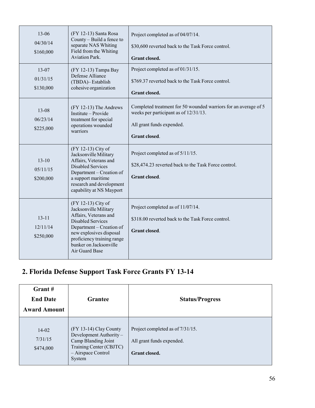| $13 - 06$<br>04/30/14<br>\$160,000 | (FY 12-13) Santa Rosa<br>County - Build a fence to<br>separate NAS Whiting<br>Field from the Whiting<br><b>Aviation Park.</b>                                                                                                     | Project completed as of 04/07/14.<br>\$30,600 reverted back to the Task Force control.<br><b>Grant closed.</b>                                                |
|------------------------------------|-----------------------------------------------------------------------------------------------------------------------------------------------------------------------------------------------------------------------------------|---------------------------------------------------------------------------------------------------------------------------------------------------------------|
| $13 - 07$<br>01/31/15<br>\$130,000 | (FY 12-13) Tampa Bay<br>Defense Alliance<br>(TBDA)-Establish<br>cohesive organization                                                                                                                                             | Project completed as of 01/31/15.<br>\$769.37 reverted back to the Task Force control.<br><b>Grant closed.</b>                                                |
| $13 - 08$<br>06/23/14<br>\$225,000 | (FY 12-13) The Andrews<br>Institute – Provide<br>treatment for special<br>operations wounded<br>warriors                                                                                                                          | Completed treatment for 50 wounded warriors for an average of 5<br>weeks per participant as of 12/31/13.<br>All grant funds expended.<br><b>Grant</b> closed. |
| $13-10$<br>05/11/15<br>\$200,000   | (FY 12-13) City of<br>Jacksonville Military<br>Affairs, Veterans and<br><b>Disabled Services</b><br>Department – Creation of<br>a support maritime<br>research and development<br>capability at NS Mayport                        | Project completed as of 5/11/15.<br>\$28,474.23 reverted back to the Task Force control.<br><b>Grant closed.</b>                                              |
| $13 - 11$<br>12/11/14<br>\$250,000 | (FY 12-13) City of<br>Jacksonville Military<br>Affairs, Veterans and<br><b>Disabled Services</b><br>Department – Creation of<br>new explosives disposal<br>proficiency training range<br>bunker on Jacksonville<br>Air Guard Base | Project completed as of 11/07/14.<br>\$318.00 reverted back to the Task Force control.<br><b>Grant</b> closed.                                                |

## **2. Florida Defense Support Task Force Grants FY 13-14**

| Grant#<br><b>End Date</b><br><b>Award Amount</b> | Grantee                                                                                                                              | <b>Status/Progress</b>                                                         |
|--------------------------------------------------|--------------------------------------------------------------------------------------------------------------------------------------|--------------------------------------------------------------------------------|
| $14 - 02$<br>7/31/15<br>\$474,000                | $(FY 13-14)$ Clay County<br>Development Authority-<br>Camp Blanding Joint<br>Training Center (CBJTC)<br>- Airspace Control<br>System | Project completed as of 7/31/15.<br>All grant funds expended.<br>Grant closed. |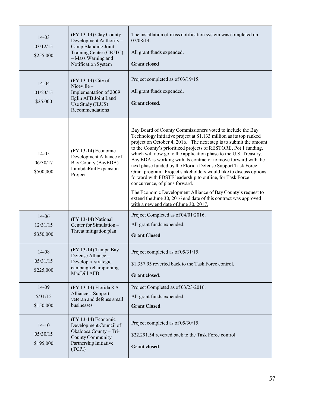| 14-03<br>03/12/15<br>\$255,000     | (FY 13-14) Clay County<br>Development Authority-<br>Camp Blanding Joint<br>Training Center (CBJTC)<br>- Mass Warning and<br>Notification System | The installation of mass notification system was completed on<br>$07/08/14$ .<br>All grant funds expended.<br><b>Grant closed</b>                                                                                                                                                                                                                                                                                                                                                                                                                                                                                                                                                                                                                                                                                             |
|------------------------------------|-------------------------------------------------------------------------------------------------------------------------------------------------|-------------------------------------------------------------------------------------------------------------------------------------------------------------------------------------------------------------------------------------------------------------------------------------------------------------------------------------------------------------------------------------------------------------------------------------------------------------------------------------------------------------------------------------------------------------------------------------------------------------------------------------------------------------------------------------------------------------------------------------------------------------------------------------------------------------------------------|
| 14-04<br>01/23/15<br>\$25,000      | (FY 13-14) City of<br>Niceville-<br>Implementation of 2009<br>Eglin AFB Joint Land<br>Use Study (JLUS)<br>Recommendations                       | Project completed as of 03/19/15.<br>All grant funds expended.<br>Grant closed.                                                                                                                                                                                                                                                                                                                                                                                                                                                                                                                                                                                                                                                                                                                                               |
| 14-05<br>06/30/17<br>\$500,000     | $(FY 13-14)$ Economic<br>Development Alliance of<br>Bay County (BayEDA) -<br>LambdaRail Expansion<br>Project                                    | Bay Board of County Commissioners voted to include the Bay<br>Technology Initiative project at \$1.133 million as its top ranked<br>project on October 4, 2016. The next step is to submit the amount<br>to the County's prioritized projects of RESTORE, Pot 1 funding,<br>which will now go to the application phase to the U.S. Treasury.<br>Bay EDA is working with its contractor to move forward with the<br>next phase funded by the Florida Defense Support Task Force<br>Grant program. Project stakeholders would like to discuss options<br>forward with FDSTF leadership to outline, for Task Force<br>concurrence, of plans forward.<br>The Economic Development Alliance of Bay County's request to<br>extend the June 30, 2016 end date of this contract was approved<br>with a new end date of June 30, 2017. |
| 14-06<br>12/31/15<br>\$350,000     | (FY 13-14) National<br>Center for Simulation -<br>Threat mitigation plan                                                                        | Project Completed as of 04/01/2016.<br>All grant funds expended.<br><b>Grant Closed</b>                                                                                                                                                                                                                                                                                                                                                                                                                                                                                                                                                                                                                                                                                                                                       |
| 14-08<br>05/31/15<br>\$225,000     | (FY 13-14) Tampa Bay<br>Defense Alliance –<br>Develop a strategic<br>campaign championing<br>MacDill AFB                                        | Project completed as of 05/31/15.<br>\$1,357.95 reverted back to the Task Force control.<br>Grant closed.                                                                                                                                                                                                                                                                                                                                                                                                                                                                                                                                                                                                                                                                                                                     |
| 14-09<br>5/31/15<br>\$150,000      | (FY 13-14) Florida 8 A<br>Alliance - Support<br>veteran and defense small<br>businesses                                                         | Project Completed as of 03/23/2016.<br>All grant funds expended.<br><b>Grant Closed</b>                                                                                                                                                                                                                                                                                                                                                                                                                                                                                                                                                                                                                                                                                                                                       |
| $14 - 10$<br>05/30/15<br>\$195,000 | (FY 13-14) Economic<br>Development Council of<br>Okaloosa County - Tri-<br>County Community<br>Partnership Initiative<br>(TCPI)                 | Project completed as of 05/30/15.<br>\$22,291.54 reverted back to the Task Force control.<br>Grant closed.                                                                                                                                                                                                                                                                                                                                                                                                                                                                                                                                                                                                                                                                                                                    |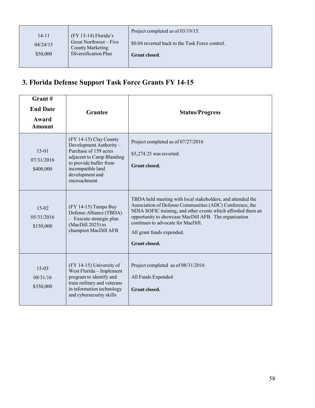|          |                                            | Project completed as of 03/19/15.               |
|----------|--------------------------------------------|-------------------------------------------------|
| 14-11    | $(FY 13-14)$ Florida's                     |                                                 |
| 04/24/15 | Great Northwest – Five<br>County Marketing | \$0.04 reverted back to the Task Force control. |
| \$50,000 | Diversification Plan                       | <b>Grant closed.</b>                            |
|          |                                            |                                                 |

## **3. Florida Defense Support Task Force Grants FY 14-15**

| Grant#<br><b>End Date</b><br>Award<br><b>Amount</b> | <b>Grantee</b>                                                                                                                                                                           | <b>Status/Progress</b>                                                                                                                                                                                                                                                                                                                      |
|-----------------------------------------------------|------------------------------------------------------------------------------------------------------------------------------------------------------------------------------------------|---------------------------------------------------------------------------------------------------------------------------------------------------------------------------------------------------------------------------------------------------------------------------------------------------------------------------------------------|
| $15-01$<br>07/31/2016<br>\$400,000                  | (FY 14-15) Clay County<br>Development Authority-<br>Purchase of 159 acres<br>adjacent to Camp Blanding<br>to provide buffer from<br>incompatible land<br>development and<br>encroachment | Project completed as of 07/27/2016<br>\$5,274.25 was reverted.<br><b>Grant closed.</b>                                                                                                                                                                                                                                                      |
| $15-02$<br>05/31/2016<br>\$150,000                  | (FY 14-15) Tampa Bay<br>Defense Alliance (TBDA)<br>- Execute strategic plan<br>(MacDill 2025) to<br>champion MacDill AFB                                                                 | TBDA held meeting with local stakeholders, and attended the<br>Association of Defense Communities (ADC) Conference, the<br>NDIA SOFIC training, and other events which afforded them an<br>opportunity to showcase MacDill AFB. The organization<br>continues to advocate for MacDill.<br>All grant funds expended.<br><b>Grant</b> closed. |
| $15-03$<br>08/31/16<br>\$350,000                    | $(FY 14-15)$ University of<br>West Florida - Implement<br>program to identify and<br>train military and veterans<br>in information technology<br>and cybersecurity skills                | Project completed as of 08/31/2016<br>All Funds Expended<br><b>Grant closed.</b>                                                                                                                                                                                                                                                            |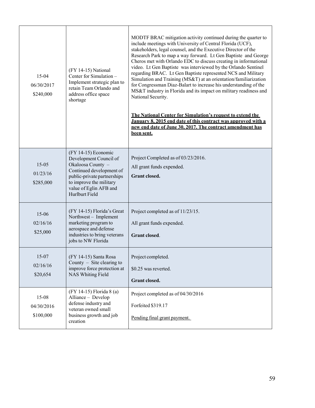| 15-04<br>06/30/2017<br>\$240,000   | (FY 14-15) National<br>Center for Simulation -<br>Implement strategic plan to<br>retain Team Orlando and<br>address office space<br>shortage                                                                  | MODTF BRAC mitigation activity continued during the quarter to<br>include meetings with University of Central Florida (UCF),<br>stakeholders, legal counsel, and the Executive Director of the<br>Research Park to map a way forward. Lt Gen Baptiste and George<br>Cheros met with Orlando EDC to discuss creating in informational<br>video. Lt Gen Baptiste was interviewed by the Orlando Sentinel<br>regarding BRAC. Lt Gen Baptiste represented NCS and Military<br>Simulation and Training (MS&T) at an orientation/familiarization<br>for Congressman Diaz-Balart to increase his understanding of the<br>MS&T industry in Florida and its impact on military readiness and<br>National Security.<br>The National Center for Simulation's request to extend the<br>January 8. 2015 end date of this contract was approved with a<br>new end date of June 30, 2017. The contract amendment has<br>been sent. |
|------------------------------------|---------------------------------------------------------------------------------------------------------------------------------------------------------------------------------------------------------------|---------------------------------------------------------------------------------------------------------------------------------------------------------------------------------------------------------------------------------------------------------------------------------------------------------------------------------------------------------------------------------------------------------------------------------------------------------------------------------------------------------------------------------------------------------------------------------------------------------------------------------------------------------------------------------------------------------------------------------------------------------------------------------------------------------------------------------------------------------------------------------------------------------------------|
| $15 - 05$<br>01/23/16<br>\$285,000 | $(FY 14-15)$ Economic<br>Development Council of<br>Okaloosa County -<br>Continued development of<br>public-private partnerships<br>to improve the military<br>value of Eglin AFB and<br><b>Hurlburt Field</b> | Project Completed as of 03/23/2016.<br>All grant funds expended.<br>Grant closed.                                                                                                                                                                                                                                                                                                                                                                                                                                                                                                                                                                                                                                                                                                                                                                                                                                   |
| $15 - 06$<br>02/16/16<br>\$25,000  | (FY 14-15) Florida's Great<br>Northwest - Implement<br>marketing program to<br>aerospace and defense<br>industries to bring veterans<br>jobs to NW Florida                                                    | Project completed as of 11/23/15.<br>All grant funds expended.<br><b>Grant closed.</b>                                                                                                                                                                                                                                                                                                                                                                                                                                                                                                                                                                                                                                                                                                                                                                                                                              |
| 15-07<br>02/16/16<br>\$20,654      | (FY 14-15) Santa Rosa<br>County $-$ Site clearing to<br>improve force protection at<br><b>NAS Whiting Field</b>                                                                                               | Project completed.<br>\$0.25 was reverted.<br>Grant closed.                                                                                                                                                                                                                                                                                                                                                                                                                                                                                                                                                                                                                                                                                                                                                                                                                                                         |
| 15-08<br>04/30/2016<br>\$100,000   | (FY 14-15) Florida 8 (a)<br>Alliance - Develop<br>defense industry and<br>veteran owned small<br>business growth and job<br>creation                                                                          | Project completed as of 04/30/2016<br>Forfeited \$319.17<br>Pending final grant payment.                                                                                                                                                                                                                                                                                                                                                                                                                                                                                                                                                                                                                                                                                                                                                                                                                            |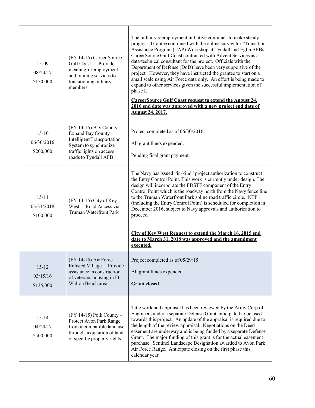| $15-09$<br>08/24/17<br>\$150,000     | (FY 14-15) Career Source<br>Gulf Coast - Provide<br>meaningful employment<br>and training services to<br>transitioning military<br>members                              | The military reemployment initiative continues to make steady<br>progress. Grantee continued with the online survey for "Transition<br>Assistance Program (TAP) Workshop at Tyndall and Eglin AFBs.<br>CareerSource Gulf Coast contracted with Advent Services as a<br>data/technical consultant for the project. Officials with the<br>Department of Defense (DoD) have been very supportive of the<br>project. However, they have instructed the grantee to start on a<br>small scale using Air Force data only. An effort is being made to<br>expand to other services given the successful implementation of<br>phase I.<br><b>CareerSource Gulf Coast request to extend the August 24,</b><br>2016 end date was approved with a new project end date of<br><b>August 24, 2017.</b> |
|--------------------------------------|-------------------------------------------------------------------------------------------------------------------------------------------------------------------------|-----------------------------------------------------------------------------------------------------------------------------------------------------------------------------------------------------------------------------------------------------------------------------------------------------------------------------------------------------------------------------------------------------------------------------------------------------------------------------------------------------------------------------------------------------------------------------------------------------------------------------------------------------------------------------------------------------------------------------------------------------------------------------------------|
| $15-10$<br>06/30/2016<br>\$200,000   | $(FY 14-15)$ Bay County -<br><b>Expand Bay County</b><br><b>Intelligent Transportation</b><br>System to synchronize<br>traffic lights on access<br>roads to Tyndall AFB | Project completed as of 06/30/2016<br>All grant funds expended.<br>Pending final grant payment.                                                                                                                                                                                                                                                                                                                                                                                                                                                                                                                                                                                                                                                                                         |
| $15 - 11$<br>03/31/2018<br>\$100,000 | $(FY 14-15)$ City of Key<br>West-Road Access via<br><b>Truman Waterfront Park</b>                                                                                       | The Navy has issued "in-kind" project authorization to construct<br>the Entry Control Point. This work is currently under design. The<br>design will incorporate the FDSTF component of the Entry<br>Control Point which is the roadway north from the Navy fence line<br>to the Truman Waterfront Park spline road traffic circle. NTP 1<br>(including the Entry Control Point) is scheduled for completion in<br>December 2016, subject to Navy approvals and authorization to<br>proceed.<br>City of Key West Request to extend the March 16, 2015 end<br>date to March 31. 2018 was approved and the amendment<br>executed.                                                                                                                                                         |
| $15 - 12$<br>03/15/16<br>\$135,000   | (FY 14-15) Air Force<br>Enlisted Village - Provide<br>assistance in construction<br>of veterans housing in Ft.<br>Walton Beach area                                     | Project completed as of 05/29/15.<br>All grant funds expended.<br><b>Grant closed.</b>                                                                                                                                                                                                                                                                                                                                                                                                                                                                                                                                                                                                                                                                                                  |
| $15 - 14$<br>04/20/17<br>\$500,000   | (FY 14-15) Polk County -<br>Protect Avon Park Range<br>from incompatible land use<br>through acquisition of land<br>or specific property rights                         | Title work and appraisal has been reviewed by the Army Corp of<br>Engineers under a separate Defense Grant anticipated to be used<br>towards this project. An update of the appraisal is required due to<br>the length of the review appraisal. Negotiations on the Deed<br>easement are underway and is being funded by a separate Defense<br>Grant. The major funding of this grant is for the actual easement<br>purchase. Sentinel Landscape Designation awarded to Avon Park<br>Air Force Range. Anticipate closing on the first phase this<br>calendar year.                                                                                                                                                                                                                      |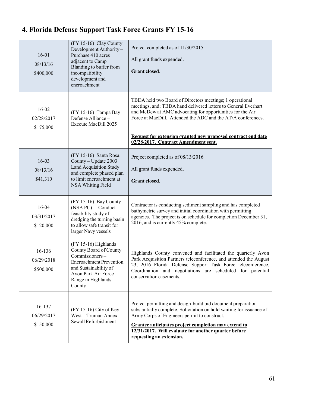#### 16-01 08/13/16 \$400,000 (FY 15-16) Clay County Development Authority – Purchase 410 acres adjacent to Camp Blanding to buffer from incompatibility development and encroachment Project completed as of 11/30/2015. All grant funds expended. **Grant closed**. 16-02 02/28/2017 \$175,000 (FY 15-16) Tampa Bay Defense Alliance – Execute MacDill 2025 TBDA held two Board of Directors meetings; 1 operational meetings, and; TBDA hand delivered letters to General Everhart and McDew at AMC advocating for opportunities for the Air Force at MacDill. Attended the ADC and the AT/A conferences. **Request for extension granted new proposed contract end date 02/28/2017. Contract Amendment sent.** 16-03 08/13/16 \$41,310 (FY 15-16) Santa Rosa County – Update 2003 Land Acquisition Study and complete phased plan to limit encroachment at NSA Whiting Field Project completed as of 08/13/2016 All grant funds expended. **Grant closed**. 16-04 03/31/2017 \$120,000 (FY 15-16) Bay County (NSA PC) – Conduct feasibility study of dredging the turning basin to allow safe transit for larger Navy vessels Contractor is conducting sediment sampling and has completed bathymetric survey and initial coordination with permitting agencies. The project is on schedule for completion December 31, 2016, and is currently 45% complete. 16-136 06/29/2018 \$500,000 (FY 15-16) Highlands County Board of County Commissioners – Encroachment Prevention and Sustainability of Avon Park Air Force Range in Highlands County Highlands County convened and facilitated the quarterly Avon Park Acquisition Partners teleconference, and attended the August 23, 2016 Florida Defense Support Task Force teleconference. Coordination and negotiations are scheduled for potential conservation easements. 16-137 06/29/2017 \$150,000 (FY 15-16) City of Key West – Truman Annex Sewall Refurbishment Project permitting and design-build bid document preparation substantially complete. Solicitation on hold waiting for issuance of Army Corps of Engineers permit to construct. **Grantee anticipates project completion may extend to 12/31/2017. Will evaluate for another quarter before requesting an extension.**

#### **4. Florida Defense Support Task Force Grants FY 15-16**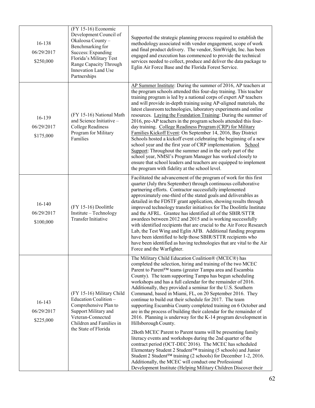| 16-138<br>06/29/2017<br>\$250,000     | (FY 15-16) Economic<br>Development Council of<br>Okaloosa County-<br>Benchmarking for<br>Success: Expanding<br>Florida's Military Test<br>Range Capacity Through<br><b>Innovation Land Use</b><br>Partnerships | Supported the strategic planning process required to establish the<br>methodology associated with vendor engagement, scope of work<br>and final product delivery. The vendor, SimWright, Inc. has been<br>engaged and execution has commenced to provide the technical<br>services needed to collect, produce and deliver the data package to<br>Eglin Air Force Base and the Florida Forest Service.                                                                                                                                                                                                                                                                                                                                                                                                                                                                                                                                                                                                                                                                                                                                                                                                |
|---------------------------------------|----------------------------------------------------------------------------------------------------------------------------------------------------------------------------------------------------------------|------------------------------------------------------------------------------------------------------------------------------------------------------------------------------------------------------------------------------------------------------------------------------------------------------------------------------------------------------------------------------------------------------------------------------------------------------------------------------------------------------------------------------------------------------------------------------------------------------------------------------------------------------------------------------------------------------------------------------------------------------------------------------------------------------------------------------------------------------------------------------------------------------------------------------------------------------------------------------------------------------------------------------------------------------------------------------------------------------------------------------------------------------------------------------------------------------|
| 16-139<br>06/29/2017<br>\$175,000     | (FY 15-16) National Math<br>and Science Initiative -<br><b>College Readiness</b><br>Program for Military<br>Families                                                                                           | AP Summer Institute: During the summer of 2016, AP teachers at<br>the program schools attended this four-day training. This teacher<br>training program is led by a national corps of expert AP teachers<br>and will provide in-depth training using AP-aligned materials, the<br>latest classroom technologies, laboratory experiments and online<br>resources. Laying the Foundation Training: During the summer of<br>2016, pre-AP teachers in the program schools attended this four-<br>day training. College Readiness Program (CRP) for Military<br>Families Kickoff Event: On September 14, 2016, Bay District<br>Schools hosted a kickoff event celebrating the beginning of a new<br>school year and the first year of CRP implementation. School<br>Support: Throughout the summer and in the early part of the<br>school year, NMSI's Program Manager has worked closely to<br>ensure that school leaders and teachers are equipped to implement<br>the program with fidelity at the school level.                                                                                                                                                                                       |
| $16 - 140$<br>06/29/2017<br>\$100,000 | (FY 15-16) Doolittle<br>Institute - Technology<br><b>Transfer Initiative</b>                                                                                                                                   | Facilitated the advancement of the program of work for this first<br>quarter (July thru September) through continuous collaborative<br>partnering efforts. Contractor successfully implemented<br>approximately one-third of the stated goals and deliverables as<br>detailed in the FDSTF grant application, showing results through<br>improved technology transfer initiatives for The Doolittle Institute<br>and the AFRL. Grantee has identified all of the SBIR/STTR<br>awardees between 2012 and 2015 and is working successfully<br>with identified recipients that are crucial to the Air Force Research<br>Lab, the Test Wing and Eglin AFB. Additional funding programs<br>have been identified to help those SBIR/STTR recipients who<br>have been identified as having technologies that are vital to the Air<br>Force and the Warfighter.                                                                                                                                                                                                                                                                                                                                              |
| $16 - 143$<br>06/29/2017<br>\$225,000 | (FY 15-16) Military Child<br>Education Coalition-<br>Comprehensive Plan to<br>Support Military and<br>Veteran-Connected<br>Children and Families in<br>the State of Florida                                    | The Military Child Education Coalition® (MCEC®) has<br>completed the selection, hiring and training of the two MCEC<br>Parent to Parent™ teams (greater Tampa area and Escambia<br>County). The team supporting Tampa has begun scheduling<br>workshops and has a full calendar for the remainder of 2016.<br>Additionally, they provided a seminar for the U.S. Southern<br>Command, based in Miami, FL, on 20 September 2016. They<br>continue to build out their schedule for 2017. The team<br>supporting Escambia County completed training on 6 October and<br>are in the process of building their calendar for the remainder of<br>2016. Planning is underway for the K-14 program development in<br>Hillsborough County.<br>2Both MCEC Parent to Parent teams will be presenting family<br>literacy events and workshops during the 2nd quarter of the<br>contract period (OCT-DEC 2016). The MCEC has scheduled<br>Elementary Student 2 Student™ training (5 schools) and Junior<br>Student 2 Student <sup>™</sup> training (2 schools) for December 1-2, 2016.<br>Additionally, the MCEC will conduct one Professional<br>Development Institute (Helping Military Children Discover their |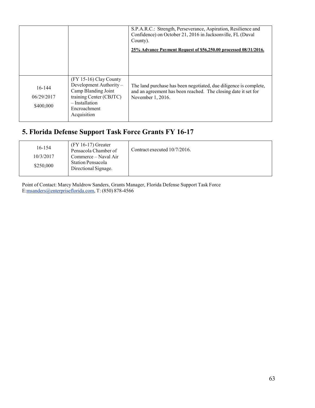|                                   |                                                                                                                                                       | S.P.A.R.C.: Strength, Perseverance, Aspiration, Resilience and<br>Confidence) on October 21, 2016 in Jacksonville, FL (Duval<br>County).                 |
|-----------------------------------|-------------------------------------------------------------------------------------------------------------------------------------------------------|----------------------------------------------------------------------------------------------------------------------------------------------------------|
|                                   |                                                                                                                                                       | 25% Advance Payment Request of \$56,250.00 processed 08/31/2016.                                                                                         |
| 16-144<br>06/29/2017<br>\$400,000 | $(FY 15-16)$ Clay County<br>Development Authority-<br>Camp Blanding Joint<br>training Center (CBJTC)<br>- Installation<br>Encroachment<br>Acquisition | The land purchase has been negotiated, due diligence is complete,<br>and an agreement has been reached. The closing date it set for<br>November 1, 2016. |

## **5. Florida Defense Support Task Force Grants FY 16-17**

| 16-154    | $(FY 16-17)$ Greater<br>Pensacola Chamber of     | Contract executed 10/7/2016. |
|-----------|--------------------------------------------------|------------------------------|
| 10/3/2017 | Commerce – Naval Air                             |                              |
| \$250,000 | <b>Station Pensacola</b><br>Directional Signage. |                              |

Point of Contact: Marcy Muldrow Sanders, Grants Manager, Florida Defense Support Task Forc[e](mailto:msanders@enterpriseflorida.com) [E:msanders@enterpriseflorida.com, T](mailto:msanders@enterpriseflorida.com): (850) 878-4566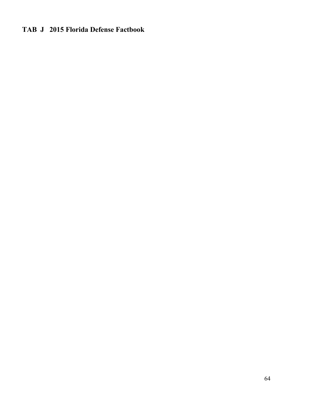## **TAB J 2015 Florida Defense Factbook**